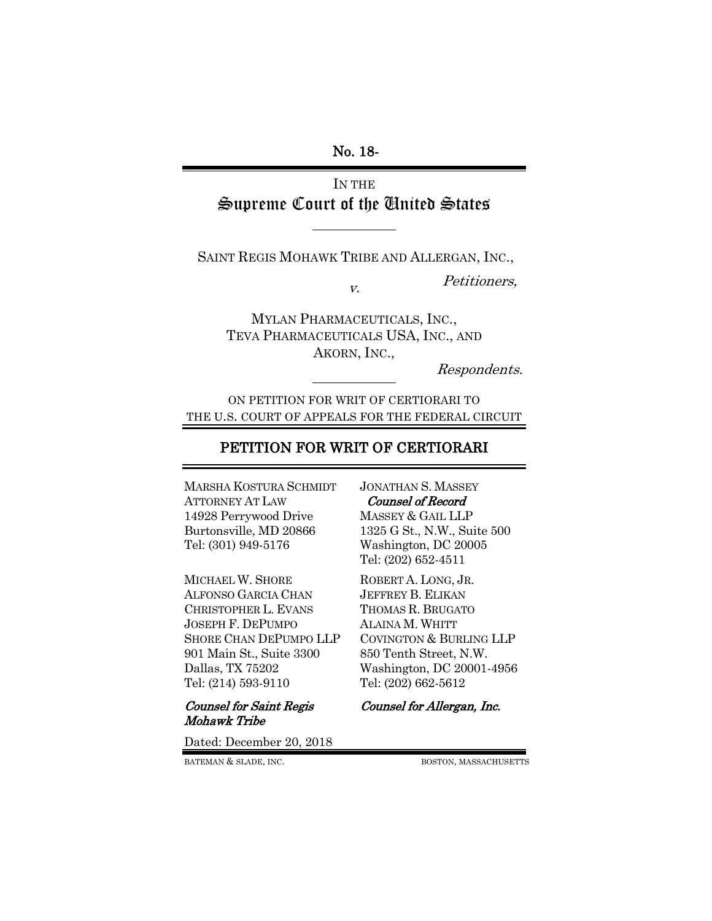### No. 18-

# IN THE Supreme Court of the United States

SAINT REGIS MOHAWK TRIBE AND ALLERGAN, INC.,

v.

Petitioners,

MYLAN PHARMACEUTICALS, INC., TEVA PHARMACEUTICALS USA, INC., AND AKORN, INC.,

Respondents.

ON PETITION FOR WRIT OF CERTIORARI TO THE U.S. COURT OF APPEALS FOR THE FEDERAL CIRCUIT

#### PETITION FOR WRIT OF CERTIORARI

MARSHA KOSTURA SCHMIDT JONATHAN S. MASSEY ATTORNEY AT LAW Counsel of Record 14928 Perrywood Drive MASSEY & GAIL LLP Tel: (301) 949-5176 Washington, DC 20005

MICHAEL W. SHORE ROBERT A. LONG, JR. ALFONSO GARCIA CHAN JEFFREY B. ELIKAN CHRISTOPHER L. EVANS THOMAS R. BRUGATO JOSEPH F. DEPUMPO ALAINA M. WHITT 901 Main St., Suite 3300 850 Tenth Street, N.W. Tel: (214) 593-9110 Tel: (202) 662-5612

# Mohawk Tribe

Burtonsville, MD 20866 1325 G St., N.W., Suite 500 Tel: (202) 652-4511

SHORE CHAN DEPUMPO LLP COVINGTON & BURLING LLP Dallas, TX 75202 Washington, DC 20001-4956

#### Counsel for Saint Regis Counsel for Allergan, Inc.

Dated: December 20, 2018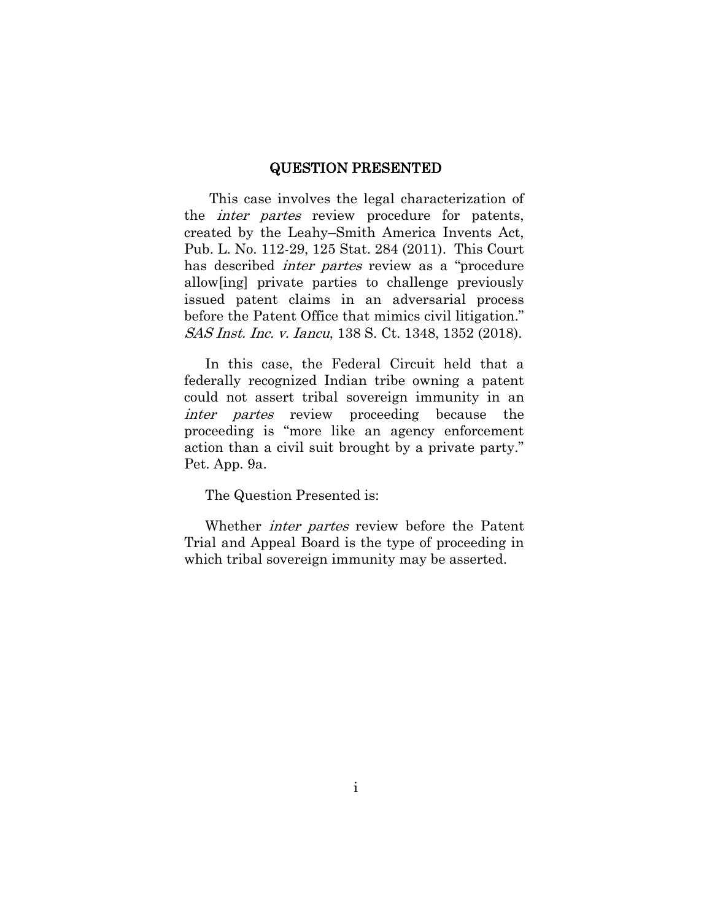#### QUESTION PRESENTED

This case involves the legal characterization of the *inter partes* review procedure for patents, created by the Leahy–Smith America Invents Act, Pub. L. No. 112-29, 125 Stat. 284 (2011). This Court has described *inter partes* review as a "procedure" allow[ing] private parties to challenge previously issued patent claims in an adversarial process before the Patent Office that mimics civil litigation." SAS Inst. Inc. v. Iancu, 138 S. Ct. 1348, 1352 (2018).

In this case, the Federal Circuit held that a federally recognized Indian tribe owning a patent could not assert tribal sovereign immunity in an inter partes review proceeding because the proceeding is "more like an agency enforcement action than a civil suit brought by a private party." Pet. App. 9a.

The Question Presented is:

Whether inter partes review before the Patent Trial and Appeal Board is the type of proceeding in which tribal sovereign immunity may be asserted.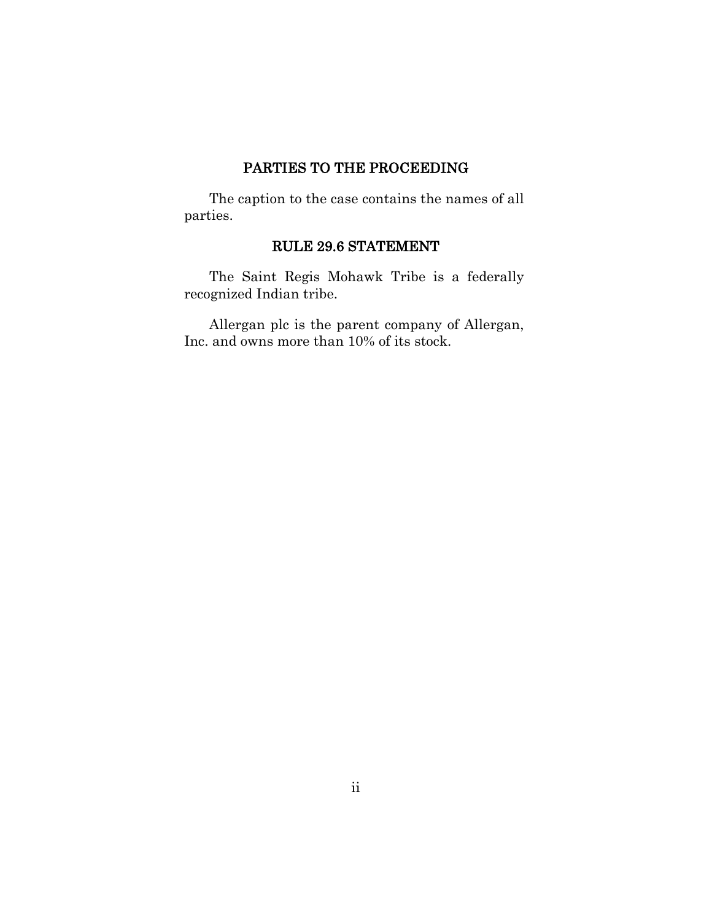# PARTIES TO THE PROCEEDING

<span id="page-2-0"></span>The caption to the case contains the names of all parties.

# RULE 29.6 STATEMENT

<span id="page-2-1"></span>The Saint Regis Mohawk Tribe is a federally recognized Indian tribe.

Allergan plc is the parent company of Allergan, Inc. and owns more than 10% of its stock.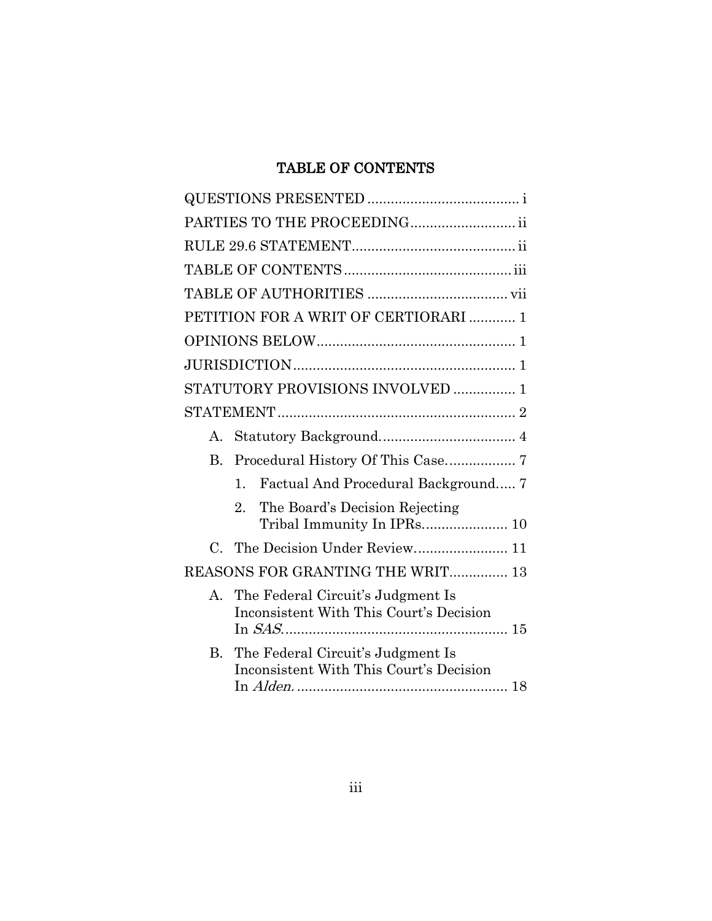# TABLE OF CONTENTS

<span id="page-3-0"></span>

|                | PARTIES TO THE PROCEEDING ii                                                     |
|----------------|----------------------------------------------------------------------------------|
|                |                                                                                  |
|                |                                                                                  |
|                |                                                                                  |
|                | PETITION FOR A WRIT OF CERTIORARI  1                                             |
|                |                                                                                  |
|                |                                                                                  |
|                | STATUTORY PROVISIONS INVOLVED  1                                                 |
|                |                                                                                  |
| A.             |                                                                                  |
| $\mathbf{B}$ . |                                                                                  |
|                | Factual And Procedural Background 7<br>$\mathbf{1}$ .                            |
|                | The Board's Decision Rejecting<br>$\overline{2}$ .<br>Tribal Immunity In IPRs 10 |
|                |                                                                                  |
|                | REASONS FOR GRANTING THE WRIT 13                                                 |
| A.             | The Federal Circuit's Judgment Is<br>Inconsistent With This Court's Decision     |
| <b>B.</b>      | The Federal Circuit's Judgment Is<br>Inconsistent With This Court's Decision     |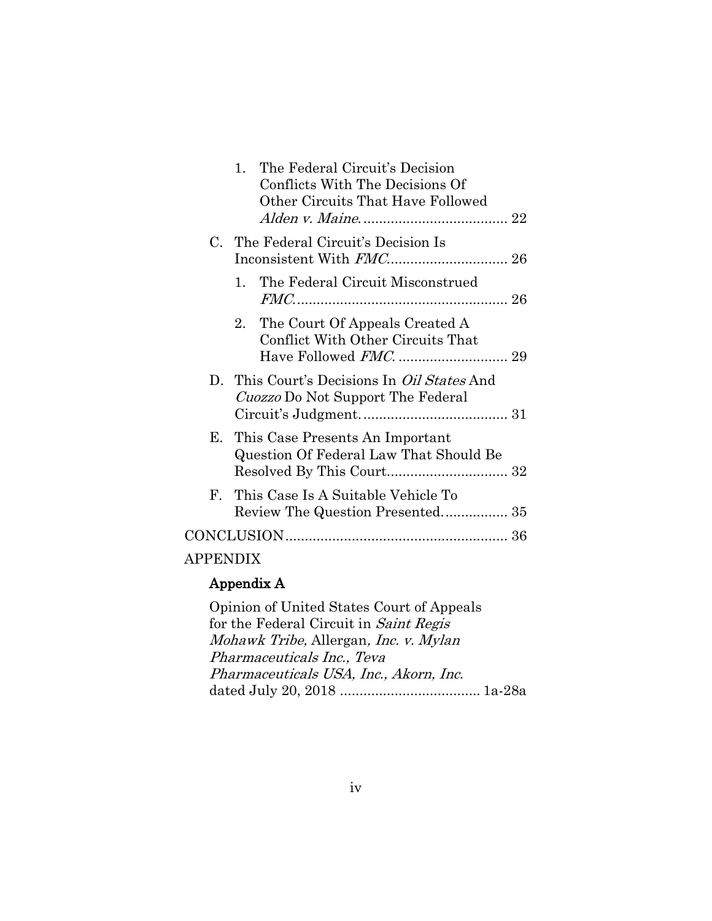|                 | The Federal Circuit's Decision<br>$\mathbf{1}$<br>Conflicts With The Decisions Of<br>Other Circuits That Have Followed |  |
|-----------------|------------------------------------------------------------------------------------------------------------------------|--|
| $C_{\cdot}$     | The Federal Circuit's Decision Is                                                                                      |  |
|                 | The Federal Circuit Misconstrued<br>$1_{-}$                                                                            |  |
|                 | 2. The Court Of Appeals Created A<br>Conflict With Other Circuits That                                                 |  |
|                 | D. This Court's Decisions In <i>Oil States</i> And<br><i>Cuozzo</i> Do Not Support The Federal                         |  |
| E.              | This Case Presents An Important<br>Question Of Federal Law That Should Be                                              |  |
|                 | F. This Case Is A Suitable Vehicle To<br>Review The Question Presented 35                                              |  |
|                 |                                                                                                                        |  |
| <b>APPENDIX</b> |                                                                                                                        |  |

# Appendix A

Opinion of United States Court of Appeals for the Federal Circuit in Saint Regis Mohawk Tribe, Allergan, Inc. v. Mylan Pharmaceuticals Inc., Teva Pharmaceuticals USA, Inc., Akorn, Inc. dated July 20, 2018 .................................... 1a-28a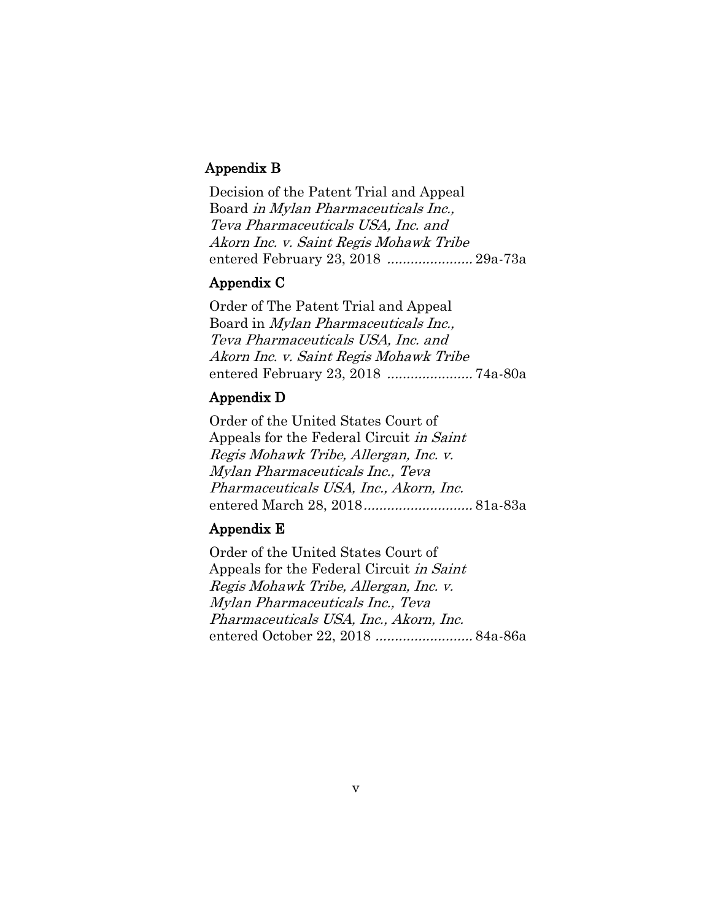### Appendix B

Decision of the Patent Trial and Appeal Board in Mylan Pharmaceuticals Inc., Teva Pharmaceuticals USA, Inc. and Akorn Inc. v. Saint Regis Mohawk Tribe entered February 23, 2018 ...................... 29a-73a

# Appendix C

Order of The Patent Trial and Appeal Board in Mylan Pharmaceuticals Inc., Teva Pharmaceuticals USA, Inc. and Akorn Inc. v. Saint Regis Mohawk Tribe entered February 23, 2018 ...................... 74a-80a

# Appendix D

Order of the United States Court of Appeals for the Federal Circuit in Saint Regis Mohawk Tribe, Allergan, Inc. v. Mylan Pharmaceuticals Inc., Teva Pharmaceuticals USA, Inc., Akorn, Inc. entered March 28, 2018............................ 81a-83a

### Appendix E

Order of the United States Court of Appeals for the Federal Circuit in Saint Regis Mohawk Tribe, Allergan, Inc. v. Mylan Pharmaceuticals Inc., Teva Pharmaceuticals USA, Inc., Akorn, Inc. entered October 22, 2018 ......................... 84a-86a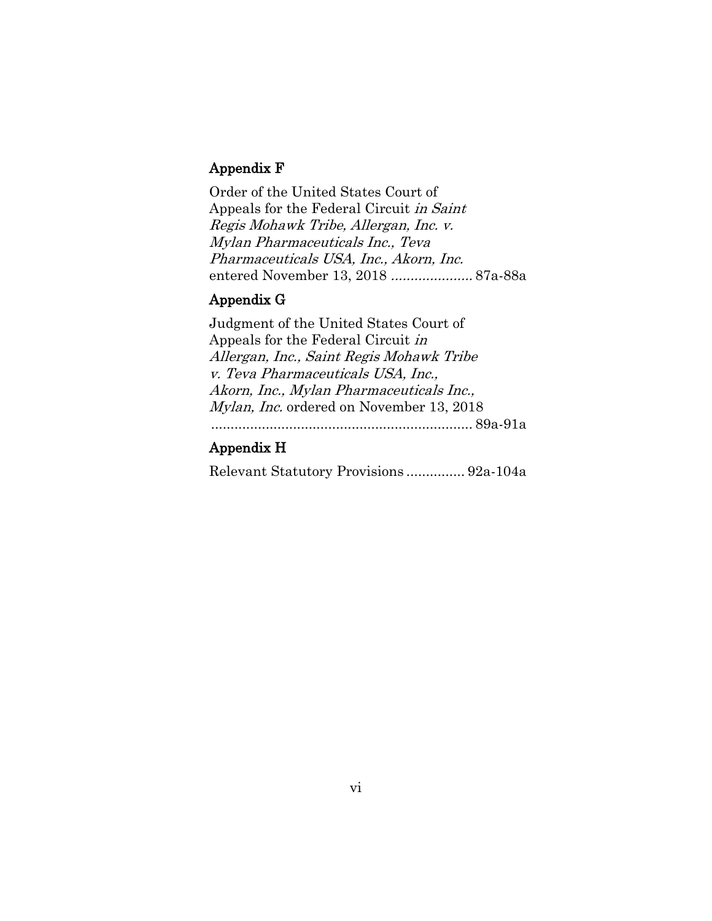# Appendix F

Order of the United States Court of Appeals for the Federal Circuit in Saint Regis Mohawk Tribe, Allergan, Inc. v. Mylan Pharmaceuticals Inc., Teva Pharmaceuticals USA, Inc., Akorn, Inc. entered November 13, 2018 ..................... 87a-88a

#### Appendix G

Judgment of the United States Court of Appeals for the Federal Circuit in Allergan, Inc., Saint Regis Mohawk Tribe v. Teva Pharmaceuticals USA, Inc., Akorn, Inc., Mylan Pharmaceuticals Inc., Mylan, Inc. ordered on November 13, 2018

................................................................... 89a-91a

# Appendix H

Relevant Statutory Provisions ............... 92a-104a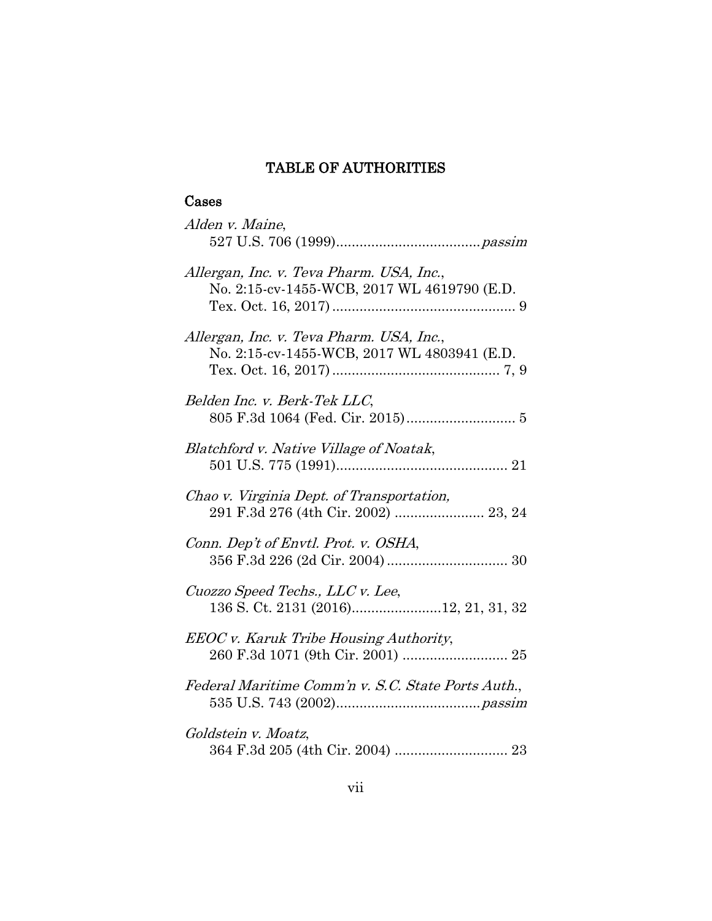# TABLE OF AUTHORITIES

# Cases

| Alden v. Maine,                                                                         |
|-----------------------------------------------------------------------------------------|
| Allergan, Inc. v. Teva Pharm. USA, Inc.,<br>No. 2:15-cv-1455-WCB, 2017 WL 4619790 (E.D. |
| Allergan, Inc. v. Teva Pharm. USA, Inc.,<br>No. 2:15-cv-1455-WCB, 2017 WL 4803941 (E.D. |
| Belden Inc. v. Berk-Tek LLC,                                                            |
| Blatchford v. Native Village of Noatak,                                                 |
| Chao v. Virginia Dept. of Transportation,<br>291 F.3d 276 (4th Cir. 2002)  23, 24       |
| Conn. Dep't of Envtl. Prot. v. OSHA,                                                    |
| Cuozzo Speed Techs., LLC v. Lee,<br>136 S. Ct. 2131 (2016)12, 21, 31, 32                |
| <b>EEOC</b> v. Karuk Tribe Housing Authority,<br>260 F.3d 1071 (9th Cir. 2001)  25      |
| Federal Maritime Comm'n v. S.C. State Ports Auth.,                                      |
| Goldstein v. Moatz,                                                                     |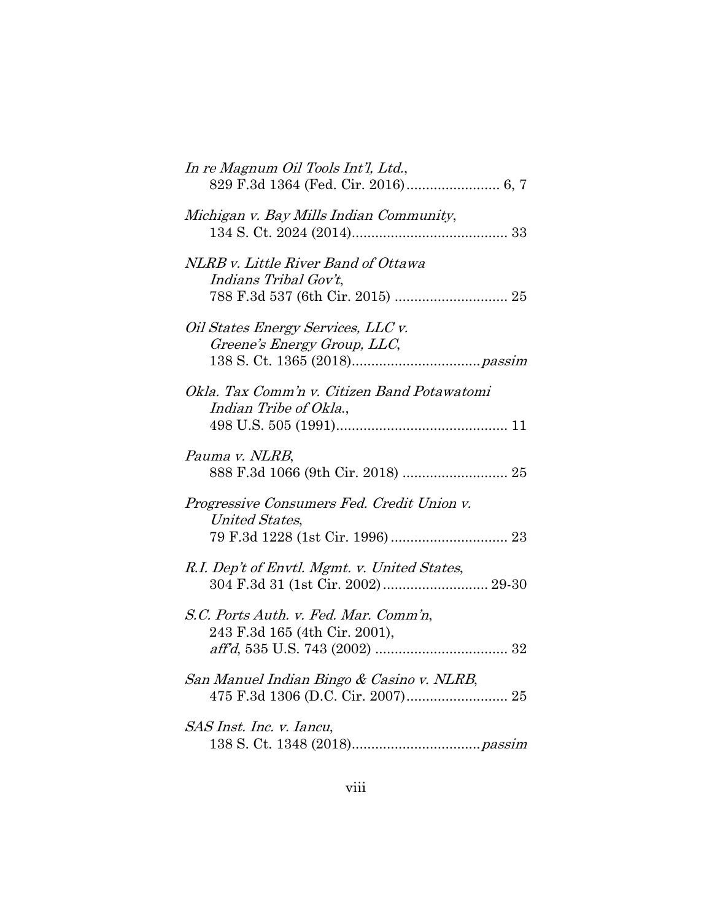| In re Magnum Oil Tools Int'l, Ltd.,                                                |
|------------------------------------------------------------------------------------|
|                                                                                    |
| Michigan v. Bay Mills Indian Community,                                            |
| NLRB v. Little River Band of Ottawa<br>Indians Tribal Gov't,                       |
| Oil States Energy Services, LLC v.<br>Greene's Energy Group, LLC,                  |
| Okla. Tax Comm'n v. Citizen Band Potawatomi<br>Indian Tribe of Okla.,              |
| Pauma v. NLRB,<br>888 F.3d 1066 (9th Cir. 2018)  25                                |
| Progressive Consumers Fed. Credit Union v.<br>United States,                       |
| R.I. Dep't of Envtl. Mgmt. v. United States,<br>304 F.3d 31 (1st Cir. 2002)  29-30 |
| S.C. Ports Auth. v. Fed. Mar. Comm'n,<br>243 F.3d 165 (4th Cir. 2001),             |
| San Manuel Indian Bingo & Casino v. NLRB,                                          |
| SAS Inst. Inc. v. Iancu,                                                           |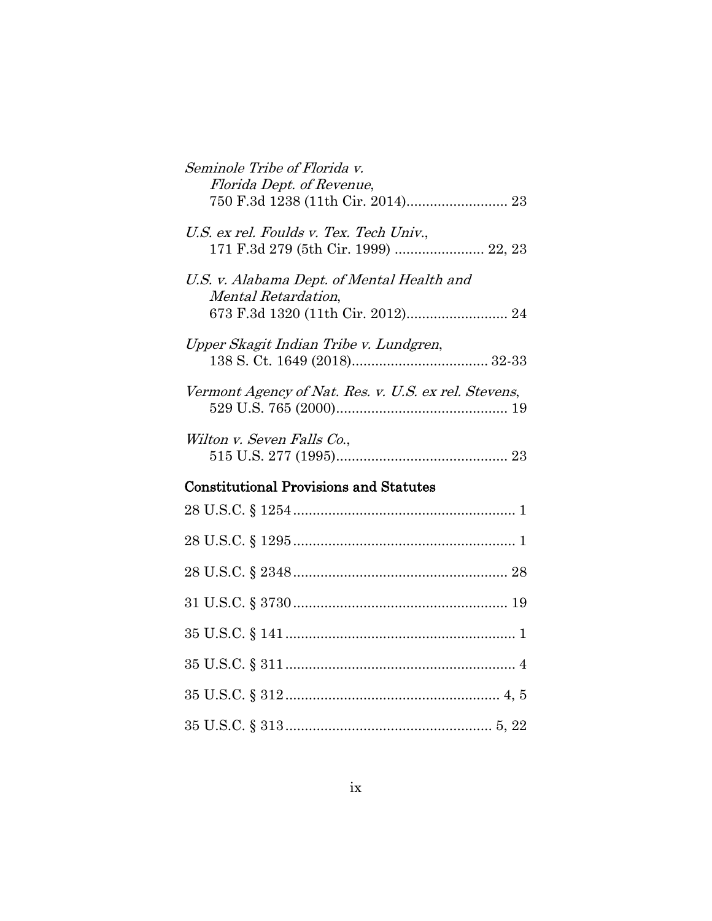| Seminole Tribe of Florida v.<br>Florida Dept. of Revenue,                                                     |
|---------------------------------------------------------------------------------------------------------------|
| U.S. ex rel. Foulds v. Tex. Tech Univ.,<br>171 F.3d 279 (5th Cir. 1999)  22, 23                               |
| U.S. v. Alabama Dept. of Mental Health and<br><i>Mental Retardation,</i><br>673 F.3d 1320 (11th Cir. 2012) 24 |
| Upper Skagit Indian Tribe v. Lundgren,                                                                        |
| Vermont Agency of Nat. Res. v. U.S. ex rel. Stevens,                                                          |
| Wilton v. Seven Falls Co.,                                                                                    |
| <b>Constitutional Provisions and Statutes</b>                                                                 |
|                                                                                                               |
|                                                                                                               |
|                                                                                                               |
|                                                                                                               |
|                                                                                                               |
|                                                                                                               |
|                                                                                                               |
|                                                                                                               |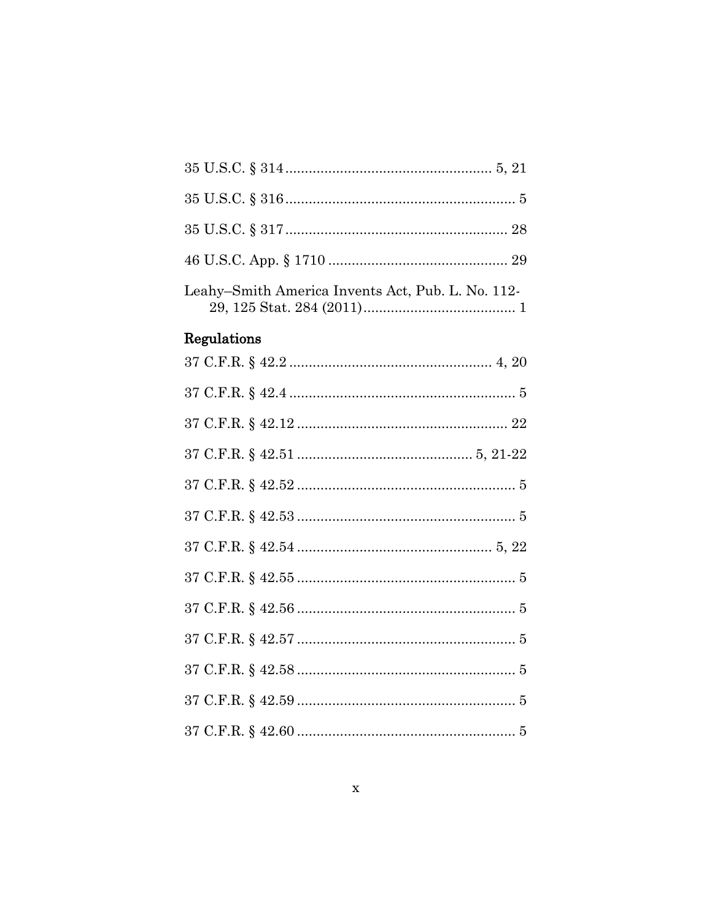| Leahy–Smith America Invents Act, Pub. L. No. 112- |  |
|---------------------------------------------------|--|

# Regulations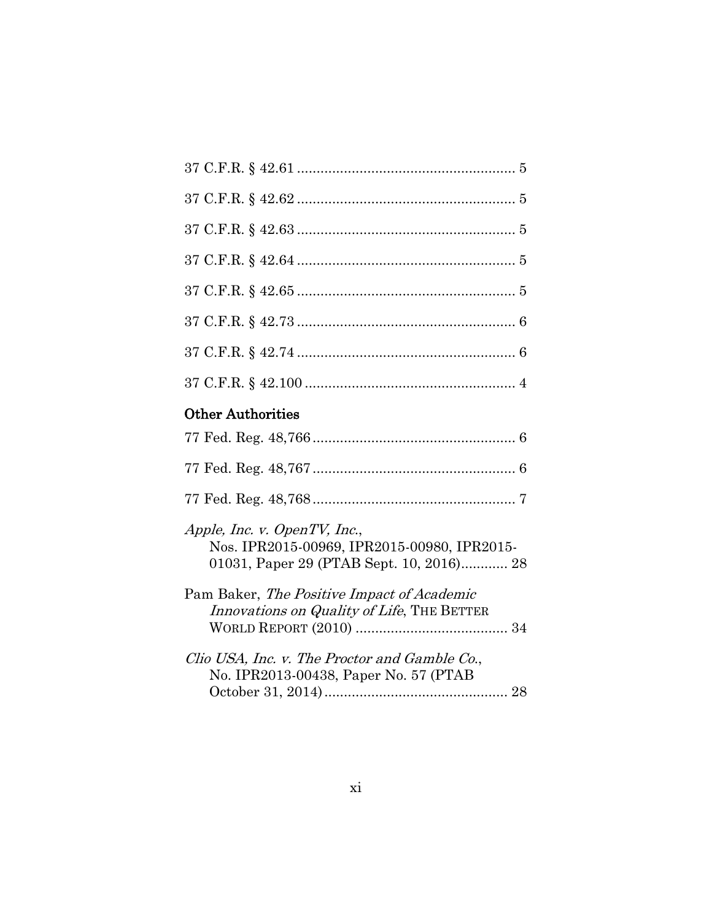| <b>Other Authorities</b>                                                                                                |
|-------------------------------------------------------------------------------------------------------------------------|
|                                                                                                                         |
|                                                                                                                         |
|                                                                                                                         |
| Apple, Inc. v. OpenTV, Inc.,<br>Nos. IPR2015-00969, IPR2015-00980, IPR2015-<br>01031, Paper 29 (PTAB Sept. 10, 2016) 28 |
| Pam Baker, The Positive Impact of Academic<br>Innovations on Quality of Life, THE BETTER                                |
| Clio USA, Inc. v. The Proctor and Gamble Co.,<br>No. IPR2013-00438, Paper No. 57 (PTAB                                  |

October 31, 2014)............................................... 28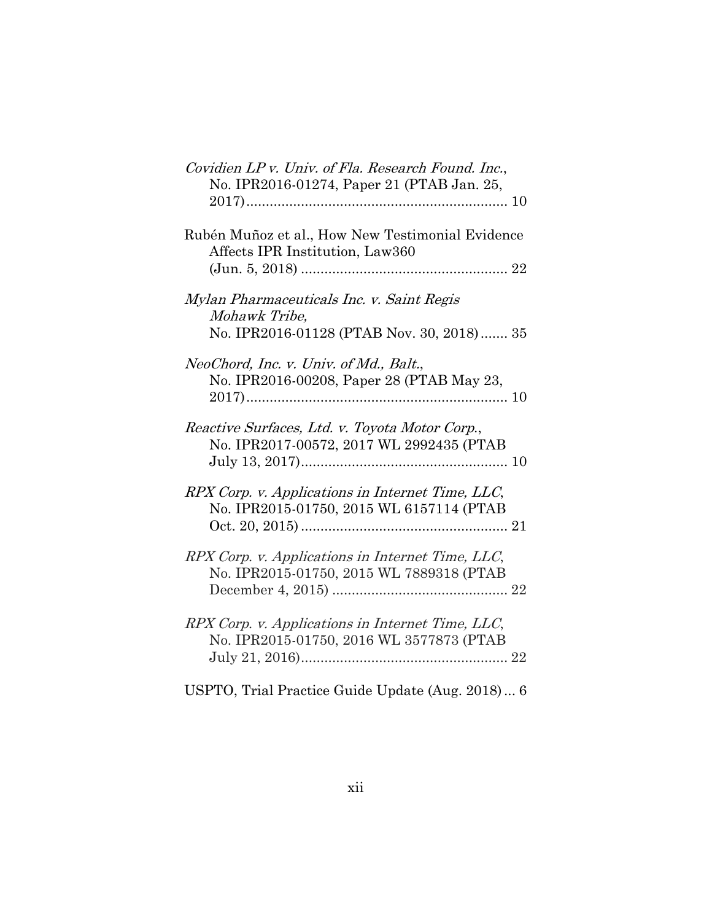| Covidien LP v. Univ. of Fla. Research Found. Inc.,<br>No. IPR2016-01274, Paper 21 (PTAB Jan. 25,        |
|---------------------------------------------------------------------------------------------------------|
| Rubén Muñoz et al., How New Testimonial Evidence<br>Affects IPR Institution, Law360                     |
| Mylan Pharmaceuticals Inc. v. Saint Regis<br>Mohawk Tribe,<br>No. IPR2016-01128 (PTAB Nov. 30, 2018) 35 |
| NeoChord, Inc. v. Univ. of Md., Balt.,<br>No. IPR2016-00208, Paper 28 (PTAB May 23,                     |
| Reactive Surfaces, Ltd. v. Toyota Motor Corp.,<br>No. IPR2017-00572, 2017 WL 2992435 (PTAB              |
| RPX Corp. v. Applications in Internet Time, LLC,<br>No. IPR2015-01750, 2015 WL 6157114 (PTAB            |
| RPX Corp. v. Applications in Internet Time, LLC,<br>No. IPR2015-01750, 2015 WL 7889318 (PTAB            |
| RPX Corp. v. Applications in Internet Time, LLC,<br>No. IPR2015-01750, 2016 WL 3577873 (PTAB            |
| USPTO, Trial Practice Guide Update (Aug. 2018) 6                                                        |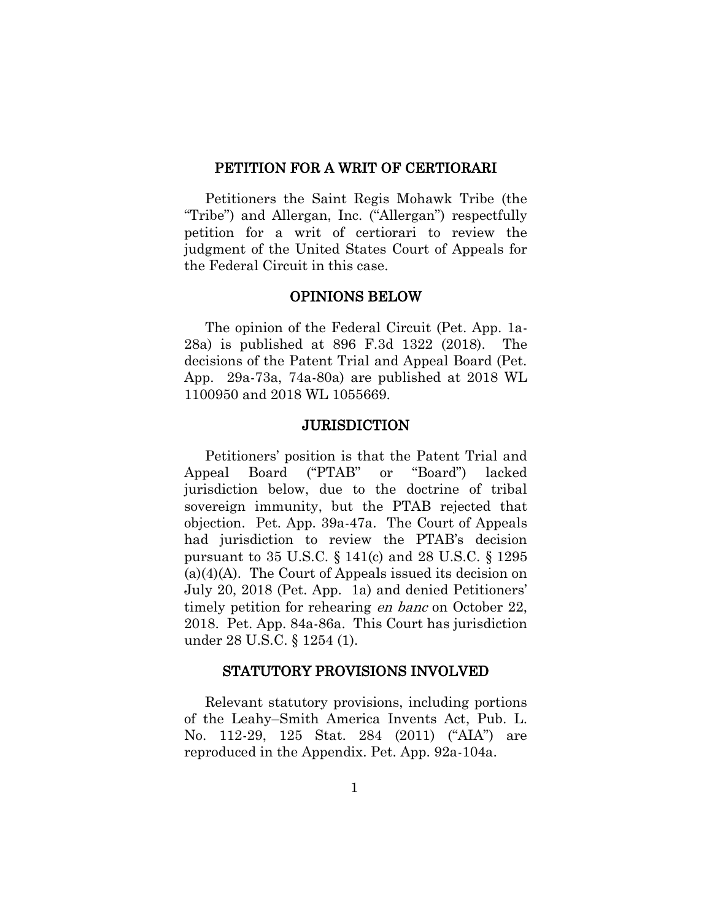#### <span id="page-13-0"></span>PETITION FOR A WRIT OF CERTIORARI

Petitioners the Saint Regis Mohawk Tribe (the "Tribe") and Allergan, Inc. ("Allergan") respectfully petition for a writ of certiorari to review the judgment of the United States Court of Appeals for the Federal Circuit in this case.

#### OPINIONS BELOW

<span id="page-13-1"></span>The opinion of the Federal Circuit (Pet. App. 1a-28a) is published at 896 F.3d 1322 (2018). The decisions of the Patent Trial and Appeal Board (Pet. App. 29a-73a, 74a-80a) are published at 2018 WL 1100950 and 2018 WL 1055669.

#### **JURISDICTION**

<span id="page-13-2"></span>Petitioners' position is that the Patent Trial and Appeal Board ("PTAB" or "Board") lacked jurisdiction below, due to the doctrine of tribal sovereign immunity, but the PTAB rejected that objection. Pet. App. 39a-47a. The Court of Appeals had jurisdiction to review the PTAB's decision pursuant to 35 U.S.C. § 141(c) and 28 U.S.C. § 1295 (a)(4)(A). The Court of Appeals issued its decision on July 20, 2018 (Pet. App. 1a) and denied Petitioners' timely petition for rehearing en banc on October 22, 2018. Pet. App. 84a-86a. This Court has jurisdiction under 28 U.S.C. § 1254 (1).

#### STATUTORY PROVISIONS INVOLVED

<span id="page-13-3"></span>Relevant statutory provisions, including portions of the Leahy–Smith America Invents Act, Pub. L. No. 112-29, 125 Stat. 284 (2011) ("AIA") are reproduced in the Appendix. Pet. App. 92a-104a.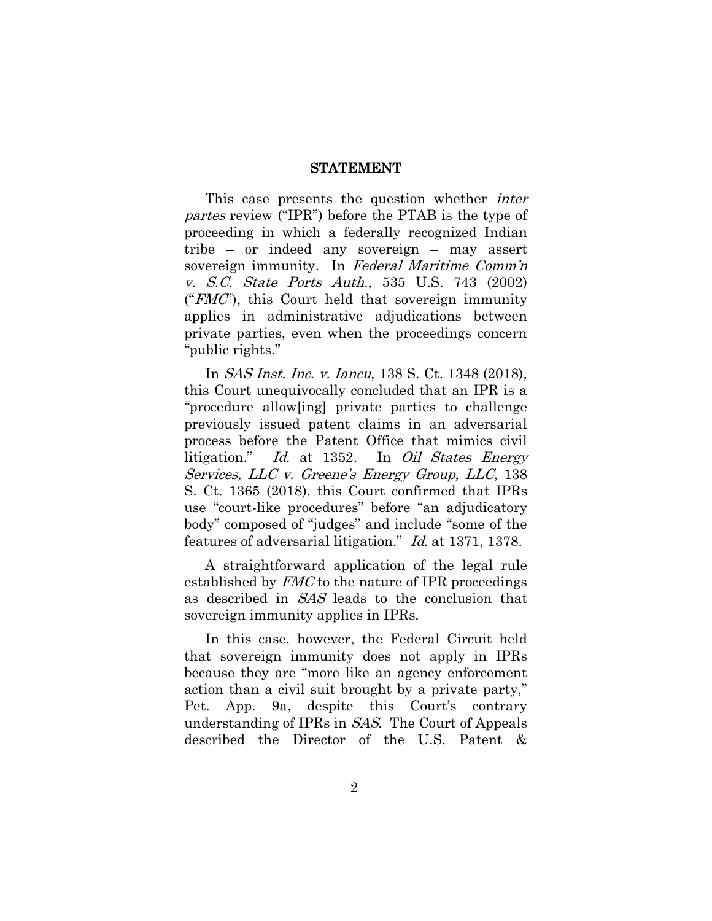#### STATEMENT

<span id="page-14-0"></span>This case presents the question whether *inter* partes review ("IPR") before the PTAB is the type of proceeding in which a federally recognized Indian tribe – or indeed any sovereign – may assert sovereign immunity. In Federal Maritime Comm'n v. S.C. State Ports Auth., 535 U.S. 743 (2002) (" $FMC$ "), this Court held that sovereign immunity applies in administrative adjudications between private parties, even when the proceedings concern "public rights."

In SAS Inst. Inc. v. Iancu, 138 S. Ct. 1348 (2018), this Court unequivocally concluded that an IPR is a "procedure allow[ing] private parties to challenge previously issued patent claims in an adversarial process before the Patent Office that mimics civil litigation." Id. at 1352. In Oil States Energy Services, LLC v. Greene's Energy Group, LLC, 138 S. Ct. 1365 (2018), this Court confirmed that IPRs use "court-like procedures" before "an adjudicatory body" composed of "judges" and include "some of the features of adversarial litigation." Id. at 1371, 1378.

A straightforward application of the legal rule established by FMC to the nature of IPR proceedings as described in SAS leads to the conclusion that sovereign immunity applies in IPRs.

In this case, however, the Federal Circuit held that sovereign immunity does not apply in IPRs because they are "more like an agency enforcement action than a civil suit brought by a private party," Pet. App. 9a, despite this Court's contrary understanding of IPRs in SAS. The Court of Appeals described the Director of the U.S. Patent &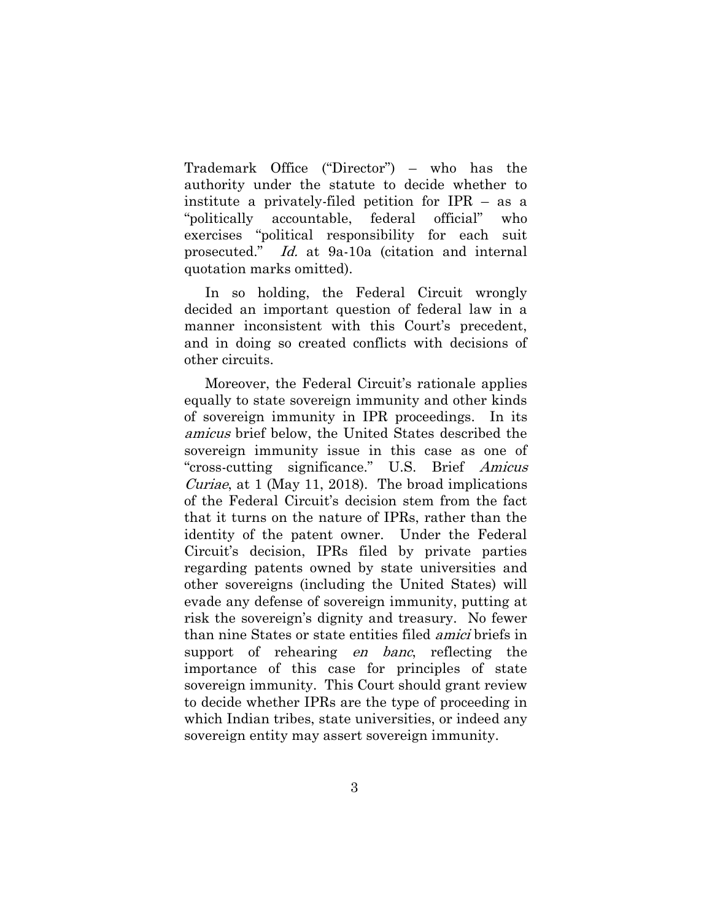Trademark Office ("Director") – who has the authority under the statute to decide whether to institute a privately-filed petition for IPR – as a "politically accountable, federal official" who exercises "political responsibility for each suit prosecuted." Id. at 9a-10a (citation and internal quotation marks omitted).

In so holding, the Federal Circuit wrongly decided an important question of federal law in a manner inconsistent with this Court's precedent, and in doing so created conflicts with decisions of other circuits.

Moreover, the Federal Circuit's rationale applies equally to state sovereign immunity and other kinds of sovereign immunity in IPR proceedings. In its amicus brief below, the United States described the sovereign immunity issue in this case as one of "cross-cutting significance." U.S. Brief Amicus Curiae, at 1 (May 11, 2018). The broad implications of the Federal Circuit's decision stem from the fact that it turns on the nature of IPRs, rather than the identity of the patent owner. Under the Federal Circuit's decision, IPRs filed by private parties regarding patents owned by state universities and other sovereigns (including the United States) will evade any defense of sovereign immunity, putting at risk the sovereign's dignity and treasury. No fewer than nine States or state entities filed amici briefs in support of rehearing *en banc*, reflecting the importance of this case for principles of state sovereign immunity. This Court should grant review to decide whether IPRs are the type of proceeding in which Indian tribes, state universities, or indeed any sovereign entity may assert sovereign immunity.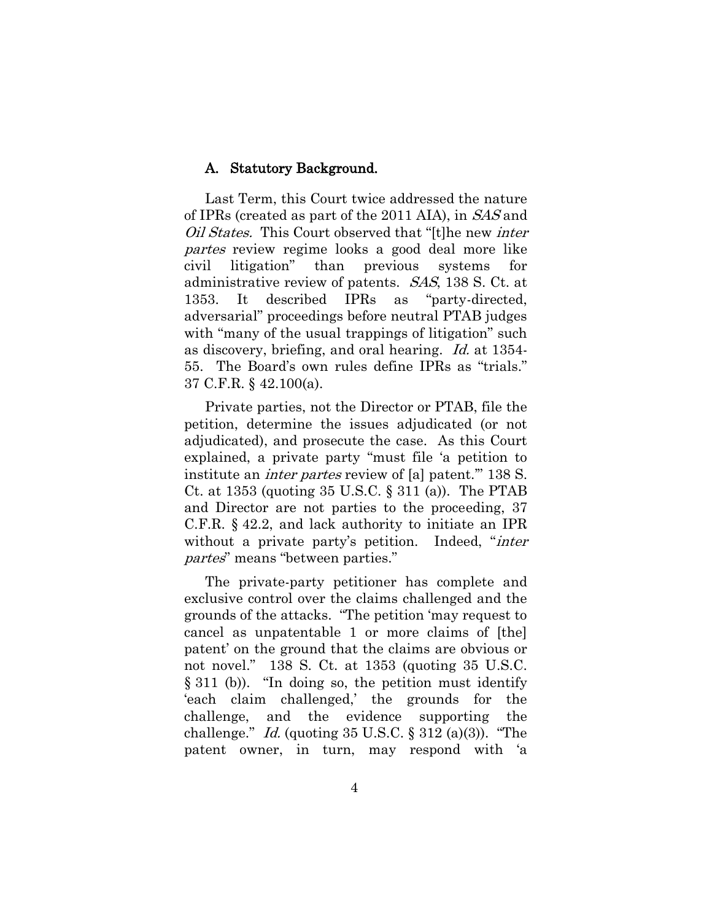#### <span id="page-16-0"></span>A. Statutory Background.

Last Term, this Court twice addressed the nature of IPRs (created as part of the 2011 AIA), in SAS and Oil States. This Court observed that "[t]he new inter partes review regime looks a good deal more like civil litigation" than previous systems for administrative review of patents. SAS, 138 S. Ct. at 1353. It described IPRs as "party-directed, adversarial" proceedings before neutral PTAB judges with "many of the usual trappings of litigation" such as discovery, briefing, and oral hearing. Id. at 1354- 55. The Board's own rules define IPRs as "trials." 37 C.F.R. § 42.100(a).

Private parties, not the Director or PTAB, file the petition, determine the issues adjudicated (or not adjudicated), and prosecute the case. As this Court explained, a private party "must file 'a petition to institute an inter partes review of [a] patent.'" 138 S. Ct. at 1353 (quoting 35 U.S.C. § 311 (a)). The PTAB and Director are not parties to the proceeding, 37 C.F.R. § 42.2, and lack authority to initiate an IPR without a private party's petition. Indeed, "*inter* partes" means "between parties."

The private-party petitioner has complete and exclusive control over the claims challenged and the grounds of the attacks. "The petition 'may request to cancel as unpatentable 1 or more claims of [the] patent' on the ground that the claims are obvious or not novel." 138 S. Ct. at 1353 (quoting 35 U.S.C. § 311 (b)). "In doing so, the petition must identify 'each claim challenged,' the grounds for the challenge, and the evidence supporting the challenge." Id. (quoting 35 U.S.C.  $\S 312$  (a)(3)). "The patent owner, in turn, may respond with 'a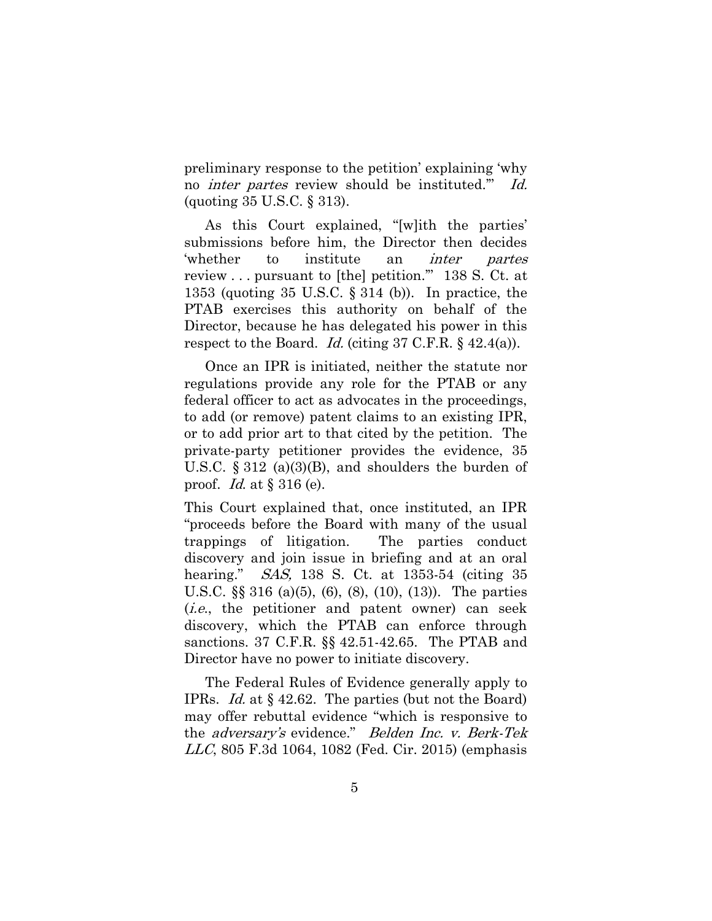preliminary response to the petition' explaining 'why no *inter partes* review should be instituted." Id. (quoting 35 U.S.C. § 313).

As this Court explained, "[w]ith the parties' submissions before him, the Director then decides 'whether to institute an inter partes review . . . pursuant to [the] petition.'" 138 S. Ct. at 1353 (quoting 35 U.S.C. § 314 (b)). In practice, the PTAB exercises this authority on behalf of the Director, because he has delegated his power in this respect to the Board. Id. (citing 37 C.F.R.  $\S$  42.4(a)).

Once an IPR is initiated, neither the statute nor regulations provide any role for the PTAB or any federal officer to act as advocates in the proceedings, to add (or remove) patent claims to an existing IPR, or to add prior art to that cited by the petition. The private-party petitioner provides the evidence, 35 U.S.C.  $\S 312$  (a)(3)(B), and shoulders the burden of proof. Id. at  $\S 316$  (e).

This Court explained that, once instituted, an IPR "proceeds before the Board with many of the usual trappings of litigation. The parties conduct discovery and join issue in briefing and at an oral hearing." SAS, 138 S. Ct. at 1353-54 (citing 35 U.S.C. §§ 316 (a)(5), (6), (8), (10), (13)). The parties (i.e., the petitioner and patent owner) can seek discovery, which the PTAB can enforce through sanctions. 37 C.F.R. §§ 42.51-42.65. The PTAB and Director have no power to initiate discovery.

The Federal Rules of Evidence generally apply to IPRs. Id. at § 42.62. The parties (but not the Board) may offer rebuttal evidence "which is responsive to the adversary'<sup>s</sup> evidence." Belden Inc. v. Berk-Tek LLC, 805 F.3d 1064, 1082 (Fed. Cir. 2015) (emphasis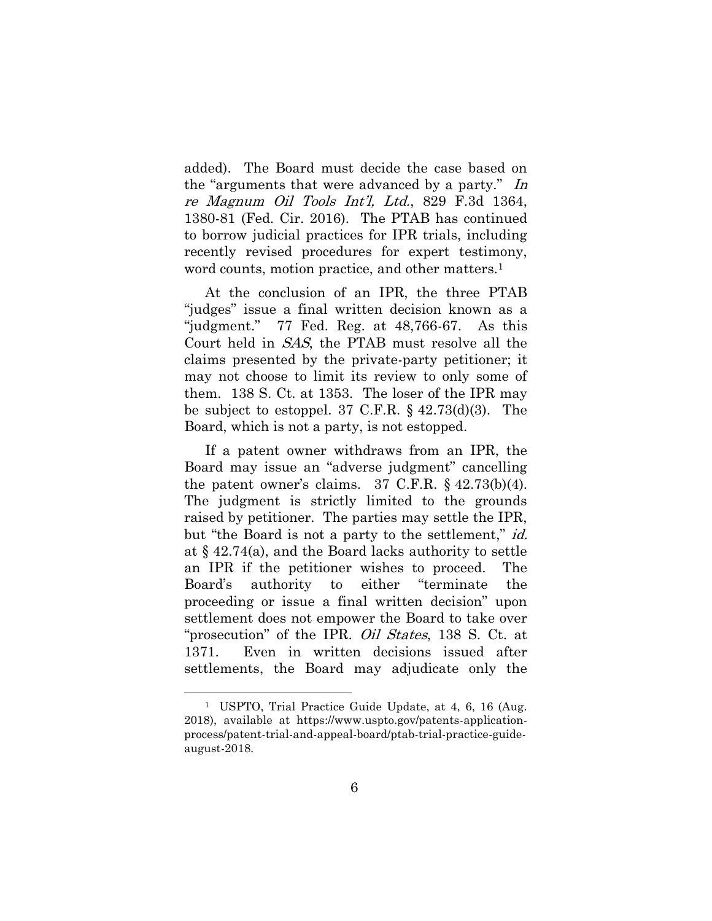added). The Board must decide the case based on the "arguments that were advanced by a party." In re Magnum Oil Tools Int'l, Ltd., 829 F.3d 1364, 1380-81 (Fed. Cir. 2016). The PTAB has continued to borrow judicial practices for IPR trials, including recently revised procedures for expert testimony, word counts, motion practice, and other matters.<sup>1</sup>

At the conclusion of an IPR, the three PTAB "judges" issue a final written decision known as a "judgment." 77 Fed. Reg. at 48,766-67. As this Court held in SAS, the PTAB must resolve all the claims presented by the private-party petitioner; it may not choose to limit its review to only some of them. 138 S. Ct. at 1353. The loser of the IPR may be subject to estoppel. 37 C.F.R. § 42.73(d)(3). The Board, which is not a party, is not estopped.

If a patent owner withdraws from an IPR, the Board may issue an "adverse judgment" cancelling the patent owner's claims.  $37 \text{ C.F.R. } \S~42.73(b)(4)$ . The judgment is strictly limited to the grounds raised by petitioner. The parties may settle the IPR, but "the Board is not a party to the settlement," *id.* at § 42.74(a), and the Board lacks authority to settle an IPR if the petitioner wishes to proceed. The Board's authority to either "terminate the proceeding or issue a final written decision" upon settlement does not empower the Board to take over "prosecution" of the IPR. *Oil States*, 138 S. Ct. at 1371. Even in written decisions issued after settlements, the Board may adjudicate only the

<sup>1</sup> USPTO, Trial Practice Guide Update, at 4, 6, 16 (Aug. 2018), available at https://www.uspto.gov/patents-applicationprocess/patent-trial-and-appeal-board/ptab-trial-practice-guideaugust-2018.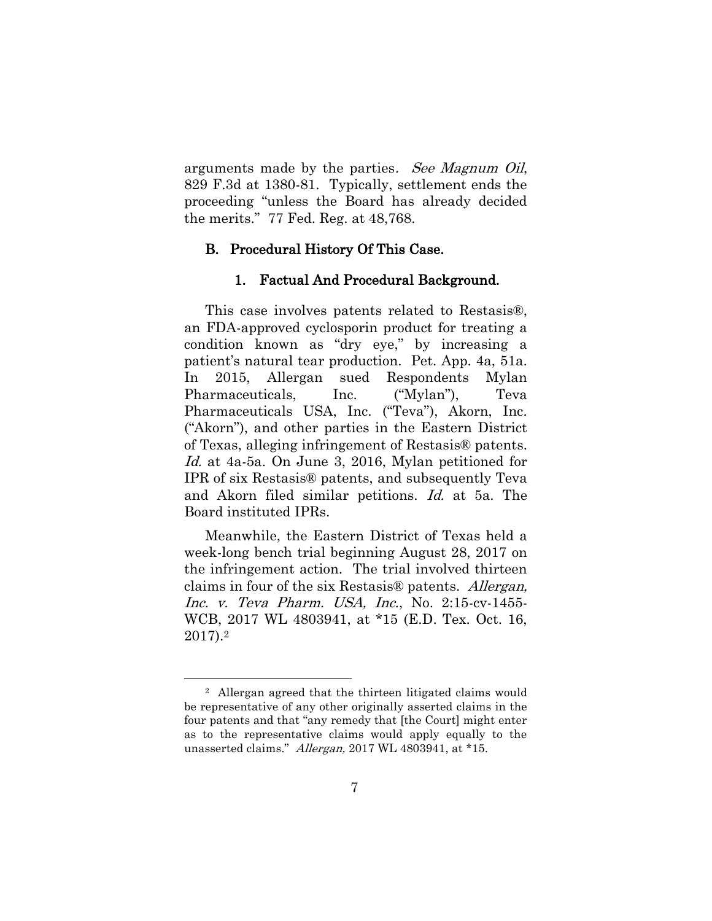arguments made by the parties. See Magnum Oil, 829 F.3d at 1380-81. Typically, settlement ends the proceeding "unless the Board has already decided the merits." 77 Fed. Reg. at 48,768.

#### <span id="page-19-0"></span>B. Procedural History Of This Case.

#### 1. Factual And Procedural Background.

<span id="page-19-1"></span>This case involves patents related to Restasis®, an FDA-approved cyclosporin product for treating a condition known as "dry eye," by increasing a patient's natural tear production. Pet. App. 4a, 51a. In 2015, Allergan sued Respondents Mylan Pharmaceuticals, Inc. ("Mylan"), Teva Pharmaceuticals USA, Inc. ("Teva"), Akorn, Inc. ("Akorn"), and other parties in the Eastern District of Texas, alleging infringement of Restasis® patents. Id. at 4a-5a. On June 3, 2016, Mylan petitioned for IPR of six Restasis® patents, and subsequently Teva and Akorn filed similar petitions. Id. at 5a. The Board instituted IPRs.

Meanwhile, the Eastern District of Texas held a week-long bench trial beginning August 28, 2017 on the infringement action. The trial involved thirteen claims in four of the six Restasis® patents. Allergan, Inc. v. Teva Pharm. USA, Inc., No. 2:15-cv-1455- WCB, 2017 WL 4803941, at \*15 (E.D. Tex. Oct. 16, 2017).<sup>2</sup>

<sup>2</sup> Allergan agreed that the thirteen litigated claims would be representative of any other originally asserted claims in the four patents and that "any remedy that [the Court] might enter as to the representative claims would apply equally to the unasserted claims." Allergan, 2017 WL 4803941, at \*15.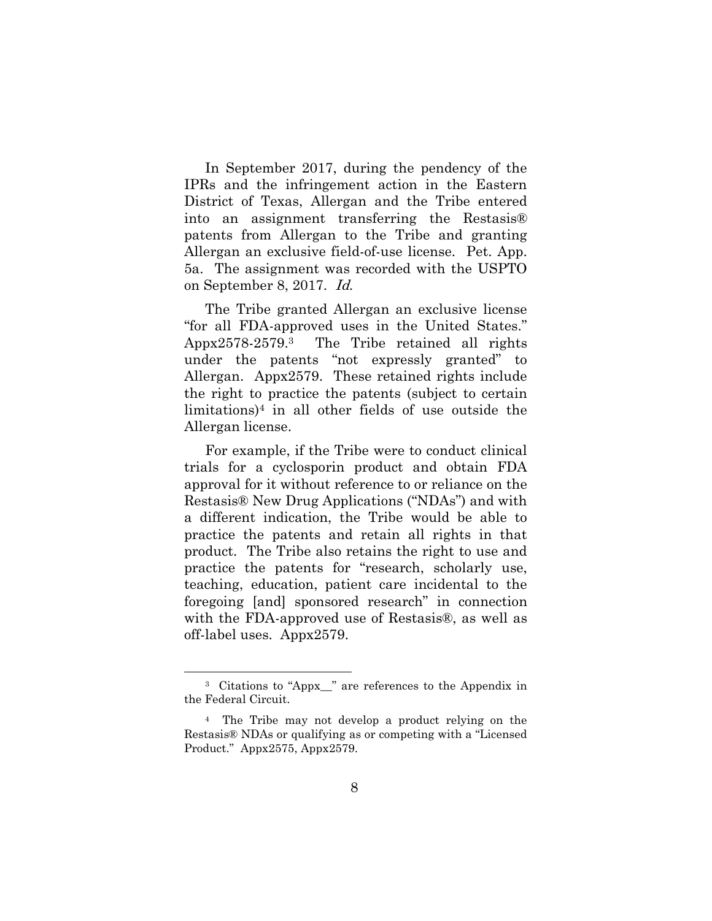In September 2017, during the pendency of the IPRs and the infringement action in the Eastern District of Texas, Allergan and the Tribe entered into an assignment transferring the Restasis® patents from Allergan to the Tribe and granting Allergan an exclusive field-of-use license. Pet. App. 5a. The assignment was recorded with the USPTO on September 8, 2017. Id.

The Tribe granted Allergan an exclusive license "for all FDA-approved uses in the United States." Appx2578-2579.3 The Tribe retained all rights under the patents "not expressly granted" to Allergan. Appx2579. These retained rights include the right to practice the patents (subject to certain limitations) $4$  in all other fields of use outside the Allergan license.

For example, if the Tribe were to conduct clinical trials for a cyclosporin product and obtain FDA approval for it without reference to or reliance on the Restasis® New Drug Applications ("NDAs") and with a different indication, the Tribe would be able to practice the patents and retain all rights in that product. The Tribe also retains the right to use and practice the patents for "research, scholarly use, teaching, education, patient care incidental to the foregoing [and] sponsored research" in connection with the FDA-approved use of Restasis®, as well as off-label uses. Appx2579.

<sup>3</sup> Citations to "Appx\_\_" are references to the Appendix in the Federal Circuit.

<sup>4</sup> The Tribe may not develop a product relying on the Restasis® NDAs or qualifying as or competing with a "Licensed Product." Appx2575, Appx2579.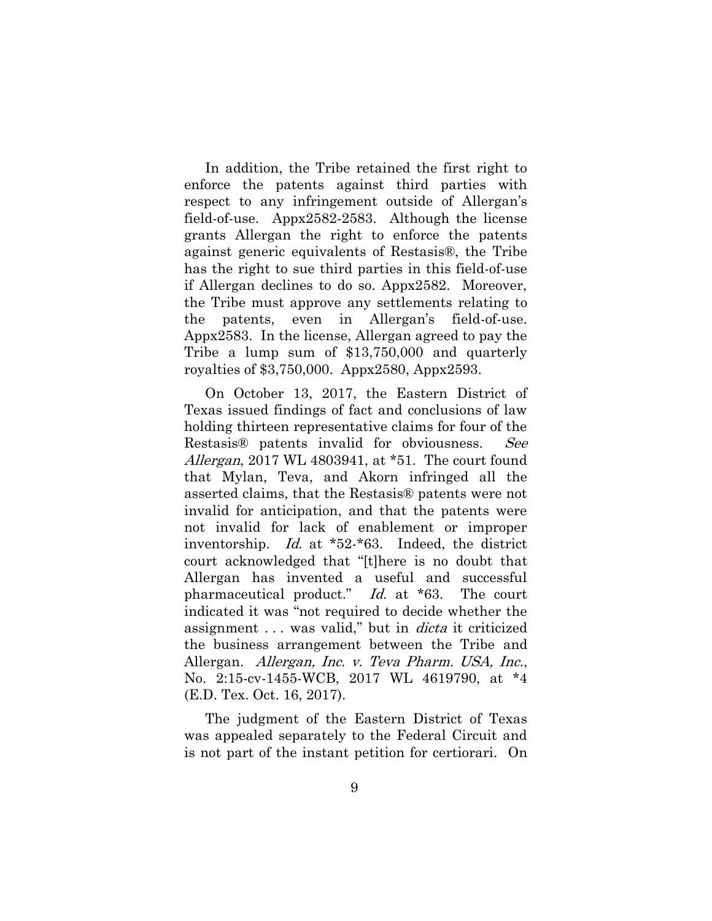In addition, the Tribe retained the first right to enforce the patents against third parties with respect to any infringement outside of Allergan's field-of-use. Appx2582-2583. Although the license grants Allergan the right to enforce the patents against generic equivalents of Restasis®, the Tribe has the right to sue third parties in this field-of-use if Allergan declines to do so. Appx2582. Moreover, the Tribe must approve any settlements relating to the patents, even in Allergan's field-of-use. Appx2583. In the license, Allergan agreed to pay the Tribe a lump sum of \$13,750,000 and quarterly royalties of \$3,750,000. Appx2580, Appx2593.

On October 13, 2017, the Eastern District of Texas issued findings of fact and conclusions of law holding thirteen representative claims for four of the Restasis® patents invalid for obviousness. See Allergan, 2017 WL 4803941, at \*51. The court found that Mylan, Teva, and Akorn infringed all the asserted claims, that the Restasis® patents were not invalid for anticipation, and that the patents were not invalid for lack of enablement or improper inventorship. Id. at \*52-\*63. Indeed, the district court acknowledged that "[t]here is no doubt that Allergan has invented a useful and successful pharmaceutical product." Id. at \*63. The court indicated it was "not required to decide whether the assignment . . . was valid," but in *dicta* it criticized the business arrangement between the Tribe and Allergan. Allergan, Inc. v. Teva Pharm. USA, Inc., No. 2:15-cv-1455-WCB, 2017 WL 4619790, at \*4 (E.D. Tex. Oct. 16, 2017).

The judgment of the Eastern District of Texas was appealed separately to the Federal Circuit and is not part of the instant petition for certiorari. On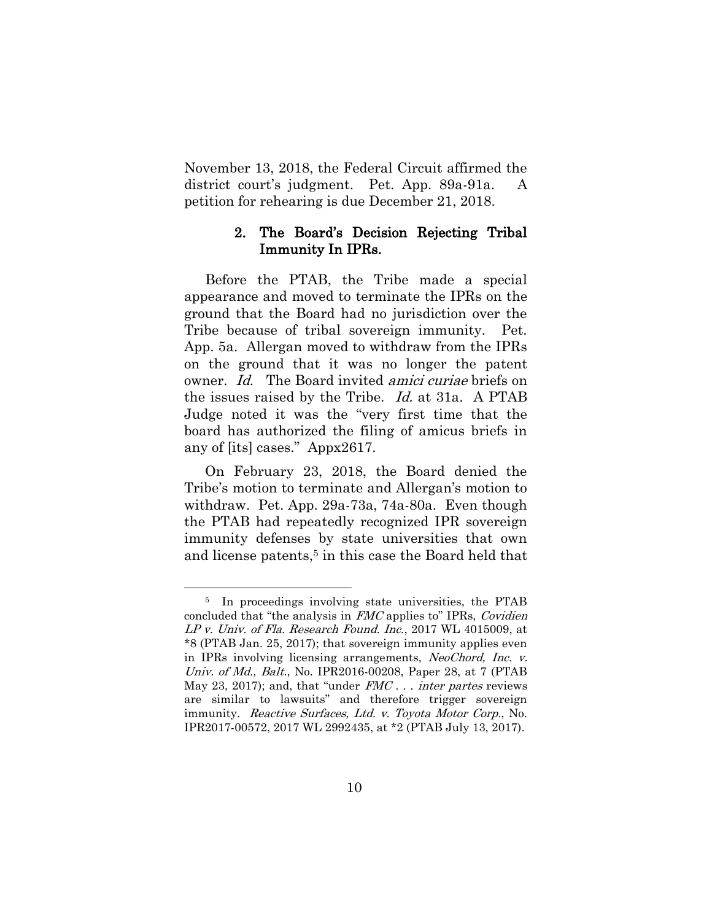November 13, 2018, the Federal Circuit affirmed the district court's judgment. Pet. App. 89a-91a. A petition for rehearing is due December 21, 2018.

### <span id="page-22-0"></span>2. The Board's Decision Rejecting Tribal Immunity In IPRs.

Before the PTAB, the Tribe made a special appearance and moved to terminate the IPRs on the ground that the Board had no jurisdiction over the Tribe because of tribal sovereign immunity. Pet. App. 5a. Allergan moved to withdraw from the IPRs on the ground that it was no longer the patent owner. *Id.* The Board invited *amici curiae* briefs on the issues raised by the Tribe. Id. at 31a. A PTAB Judge noted it was the "very first time that the board has authorized the filing of amicus briefs in any of [its] cases." Appx2617.

On February 23, 2018, the Board denied the Tribe's motion to terminate and Allergan's motion to withdraw. Pet. App. 29a-73a, 74a-80a. Even though the PTAB had repeatedly recognized IPR sovereign immunity defenses by state universities that own and license patents,<sup>5</sup> in this case the Board held that

<sup>&</sup>lt;sup>5</sup> In proceedings involving state universities, the PTAB concluded that "the analysis in FMC applies to" IPRs, Covidien LP v. Univ. of Fla. Research Found. Inc., 2017 WL 4015009, at \*8 (PTAB Jan. 25, 2017); that sovereign immunity applies even in IPRs involving licensing arrangements, NeoChord, Inc. v. Univ. of Md., Balt., No. IPR2016-00208, Paper 28, at 7 (PTAB May 23, 2017); and, that "under  $FMC...$  inter partes reviews are similar to lawsuits" and therefore trigger sovereign immunity. *Reactive Surfaces, Ltd. v. Toyota Motor Corp.*, No. IPR2017-00572, 2017 WL 2992435, at \*2 (PTAB July 13, 2017).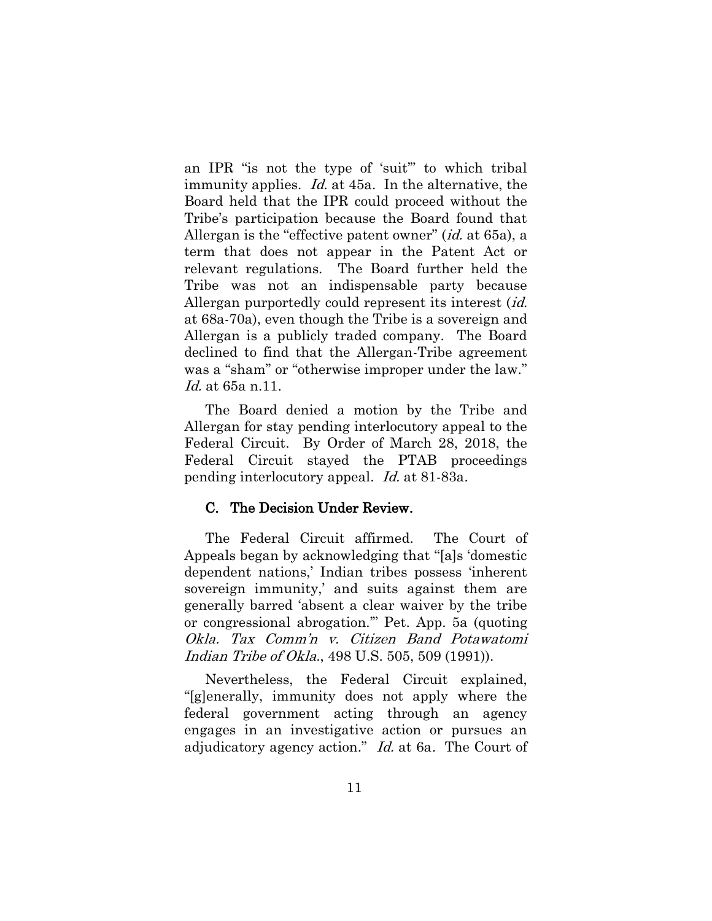an IPR "is not the type of 'suit'" to which tribal immunity applies. *Id.* at 45a. In the alternative, the Board held that the IPR could proceed without the Tribe's participation because the Board found that Allergan is the "effective patent owner" (id. at 65a), a term that does not appear in the Patent Act or relevant regulations. The Board further held the Tribe was not an indispensable party because Allergan purportedly could represent its interest *(id.*) at 68a-70a), even though the Tribe is a sovereign and Allergan is a publicly traded company. The Board declined to find that the Allergan-Tribe agreement was a "sham" or "otherwise improper under the law." *Id.* at 65a n.11.

The Board denied a motion by the Tribe and Allergan for stay pending interlocutory appeal to the Federal Circuit. By Order of March 28, 2018, the Federal Circuit stayed the PTAB proceedings pending interlocutory appeal. Id. at 81-83a.

#### <span id="page-23-0"></span>C. The Decision Under Review.

The Federal Circuit affirmed. The Court of Appeals began by acknowledging that "[a]s 'domestic dependent nations,' Indian tribes possess 'inherent sovereign immunity,' and suits against them are generally barred 'absent a clear waiver by the tribe or congressional abrogation.'" Pet. App. 5a (quoting Okla. Tax Comm'n v. Citizen Band Potawatomi Indian Tribe of Okla., 498 U.S. 505, 509 (1991)).

Nevertheless, the Federal Circuit explained, "[g]enerally, immunity does not apply where the federal government acting through an agency engages in an investigative action or pursues an adjudicatory agency action." Id. at 6a. The Court of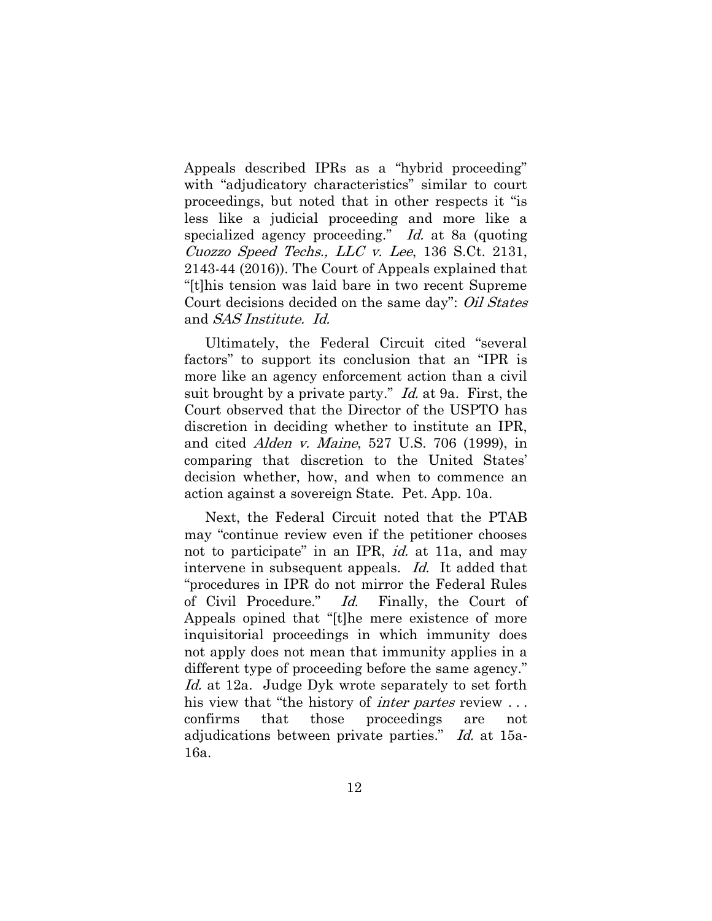Appeals described IPRs as a "hybrid proceeding" with "adjudicatory characteristics" similar to court proceedings, but noted that in other respects it "is less like a judicial proceeding and more like a specialized agency proceeding." Id. at 8a (quoting Cuozzo Speed Techs., LLC v. Lee, 136 S.Ct. 2131, 2143-44 (2016)). The Court of Appeals explained that "[t]his tension was laid bare in two recent Supreme Court decisions decided on the same day": Oil States and SAS Institute. Id.

Ultimately, the Federal Circuit cited "several factors" to support its conclusion that an "IPR is more like an agency enforcement action than a civil suit brought by a private party." Id. at 9a. First, the Court observed that the Director of the USPTO has discretion in deciding whether to institute an IPR, and cited Alden v. Maine, 527 U.S. 706 (1999), in comparing that discretion to the United States' decision whether, how, and when to commence an action against a sovereign State. Pet. App. 10a.

Next, the Federal Circuit noted that the PTAB may "continue review even if the petitioner chooses not to participate" in an IPR, *id.* at 11a, and may intervene in subsequent appeals. Id. It added that "procedures in IPR do not mirror the Federal Rules of Civil Procedure." Id. Finally, the Court of Appeals opined that "[t]he mere existence of more inquisitorial proceedings in which immunity does not apply does not mean that immunity applies in a different type of proceeding before the same agency." Id. at 12a. Judge Dyk wrote separately to set forth his view that "the history of *inter partes* review ... confirms that those proceedings are not adjudications between private parties." Id. at 15a-16a.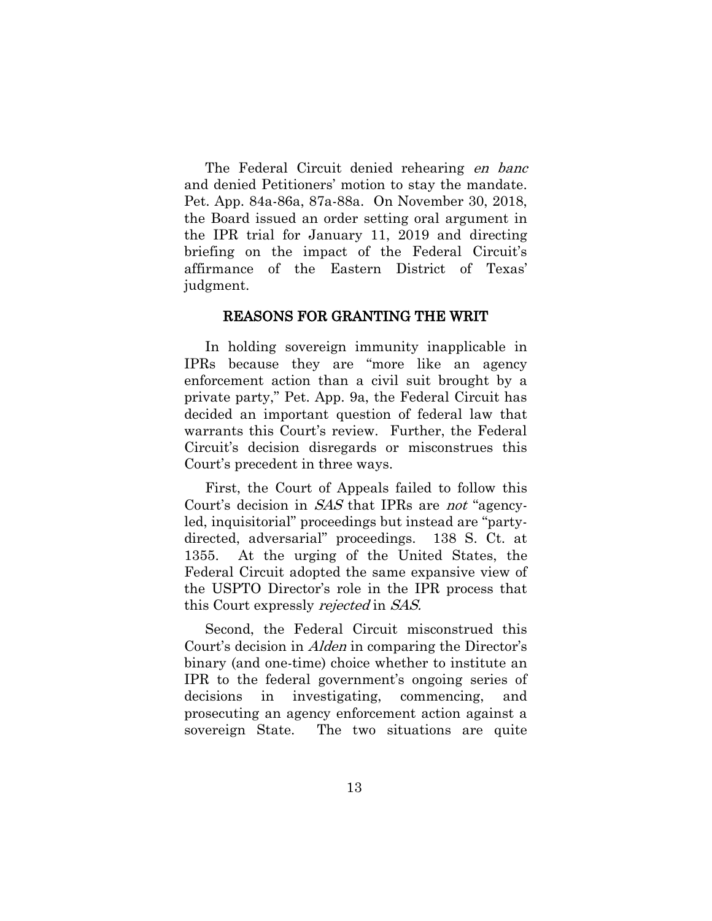The Federal Circuit denied rehearing *en banc* and denied Petitioners' motion to stay the mandate. Pet. App. 84a-86a, 87a-88a. On November 30, 2018, the Board issued an order setting oral argument in the IPR trial for January 11, 2019 and directing briefing on the impact of the Federal Circuit's affirmance of the Eastern District of Texas' judgment.

#### REASONS FOR GRANTING THE WRIT

<span id="page-25-0"></span>In holding sovereign immunity inapplicable in IPRs because they are "more like an agency enforcement action than a civil suit brought by a private party," Pet. App. 9a, the Federal Circuit has decided an important question of federal law that warrants this Court's review. Further, the Federal Circuit's decision disregards or misconstrues this Court's precedent in three ways.

First, the Court of Appeals failed to follow this Court's decision in SAS that IPRs are *not* "agencyled, inquisitorial" proceedings but instead are "partydirected, adversarial" proceedings. 138 S. Ct. at 1355. At the urging of the United States, the Federal Circuit adopted the same expansive view of the USPTO Director's role in the IPR process that this Court expressly rejected in SAS.

Second, the Federal Circuit misconstrued this Court's decision in Alden in comparing the Director's binary (and one-time) choice whether to institute an IPR to the federal government's ongoing series of decisions in investigating, commencing, and prosecuting an agency enforcement action against a sovereign State. The two situations are quite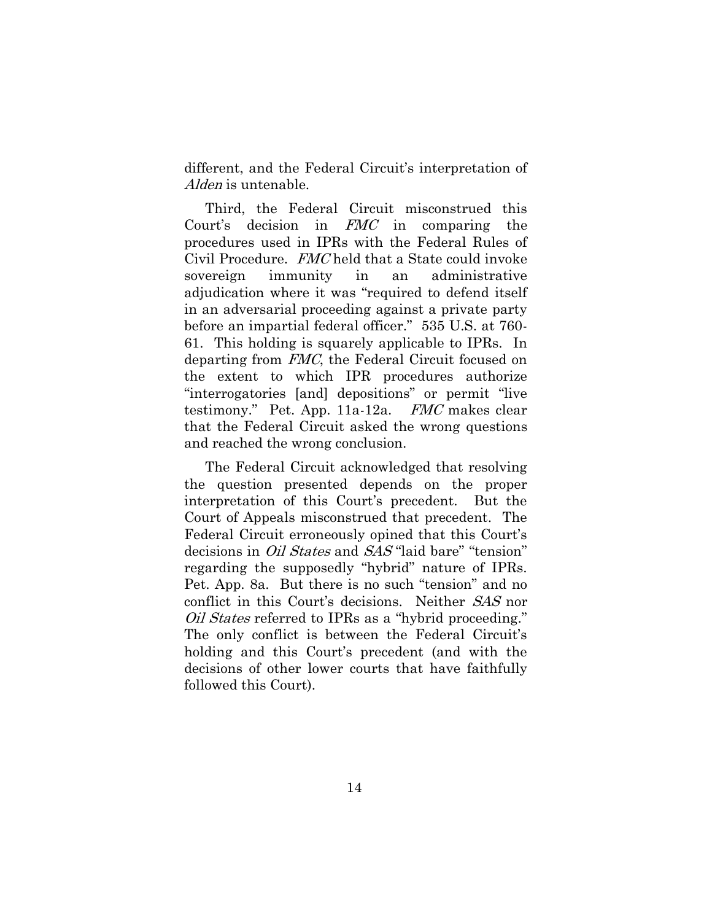different, and the Federal Circuit's interpretation of Alden is untenable.

Third, the Federal Circuit misconstrued this Court's decision in FMC in comparing the procedures used in IPRs with the Federal Rules of Civil Procedure. FMC held that a State could invoke sovereign immunity in an administrative adjudication where it was "required to defend itself in an adversarial proceeding against a private party before an impartial federal officer." 535 U.S. at 760- 61. This holding is squarely applicable to IPRs. In departing from FMC, the Federal Circuit focused on the extent to which IPR procedures authorize "interrogatories [and] depositions" or permit "live testimony." Pet. App. 11a-12a. FMC makes clear that the Federal Circuit asked the wrong questions and reached the wrong conclusion.

<span id="page-26-0"></span>The Federal Circuit acknowledged that resolving the question presented depends on the proper interpretation of this Court's precedent. But the Court of Appeals misconstrued that precedent. The Federal Circuit erroneously opined that this Court's decisions in *Oil States* and *SAS* "laid bare" "tension" regarding the supposedly "hybrid" nature of IPRs. Pet. App. 8a. But there is no such "tension" and no conflict in this Court's decisions. Neither SAS nor Oil States referred to IPRs as a "hybrid proceeding." The only conflict is between the Federal Circuit's holding and this Court's precedent (and with the decisions of other lower courts that have faithfully followed this Court).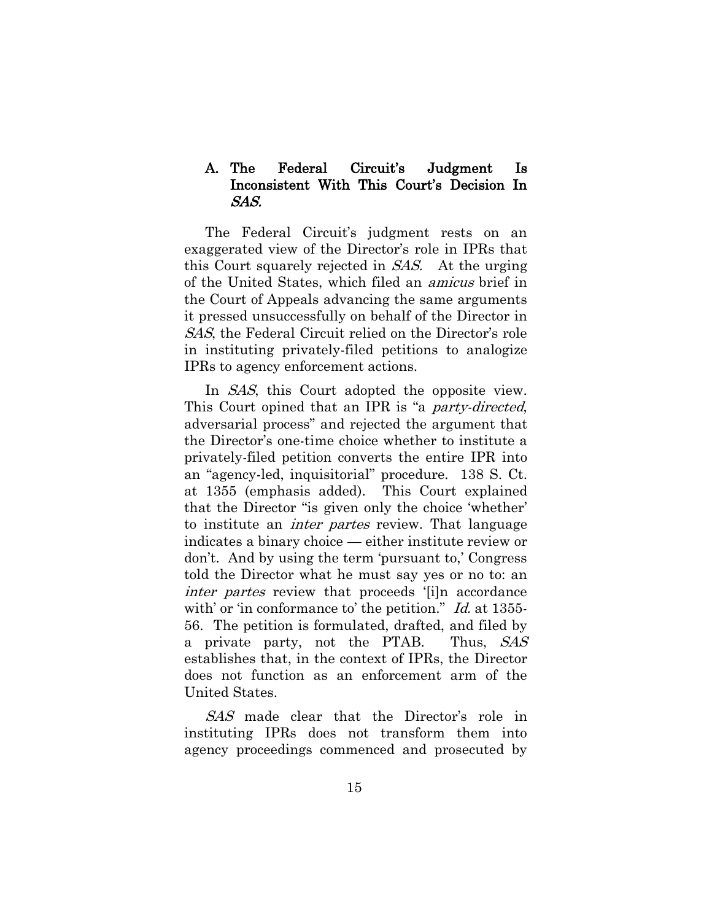### A. The Federal Circuit's Judgment Is Inconsistent With This Court's Decision In SAS.

The Federal Circuit's judgment rests on an exaggerated view of the Director's role in IPRs that this Court squarely rejected in SAS. At the urging of the United States, which filed an amicus brief in the Court of Appeals advancing the same arguments it pressed unsuccessfully on behalf of the Director in SAS, the Federal Circuit relied on the Director's role in instituting privately-filed petitions to analogize IPRs to agency enforcement actions.

In *SAS*, this Court adopted the opposite view. This Court opined that an IPR is "a *party-directed*, adversarial process" and rejected the argument that the Director's one-time choice whether to institute a privately-filed petition converts the entire IPR into an "agency-led, inquisitorial" procedure. 138 S. Ct. at 1355 (emphasis added). This Court explained that the Director "is given only the choice 'whether' to institute an inter partes review. That language indicates a binary choice — either institute review or don't. And by using the term 'pursuant to,' Congress told the Director what he must say yes or no to: an inter partes review that proceeds '[i]n accordance with' or 'in conformance to' the petition." *Id.* at 1355-56. The petition is formulated, drafted, and filed by a private party, not the PTAB. Thus, SAS establishes that, in the context of IPRs, the Director does not function as an enforcement arm of the United States.

SAS made clear that the Director's role in instituting IPRs does not transform them into agency proceedings commenced and prosecuted by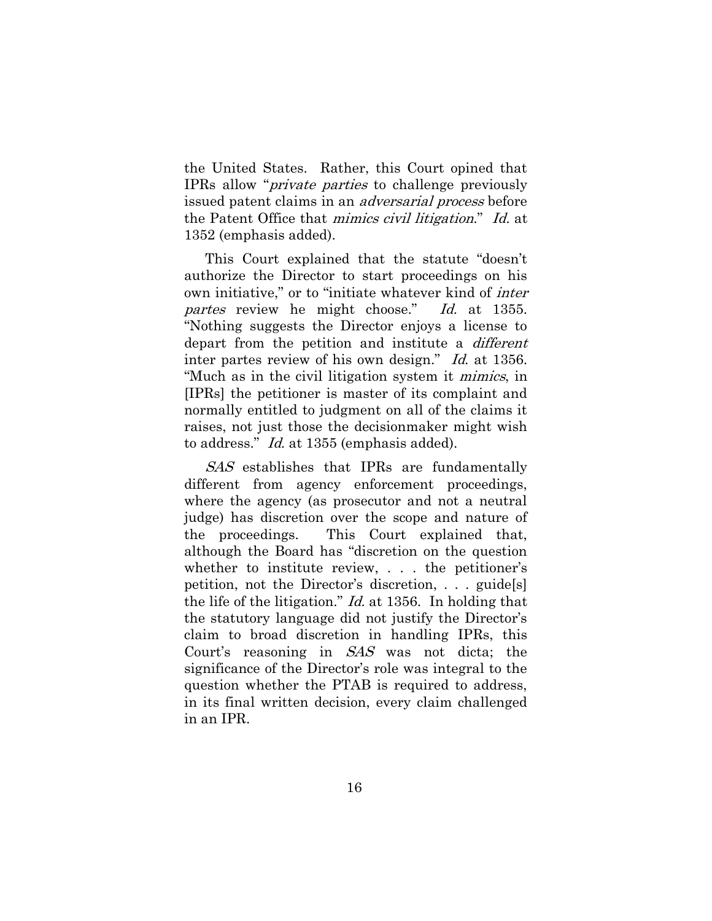the United States. Rather, this Court opined that IPRs allow "private parties to challenge previously issued patent claims in an adversarial process before the Patent Office that mimics civil litigation." Id. at 1352 (emphasis added).

This Court explained that the statute "doesn't authorize the Director to start proceedings on his own initiative," or to "initiate whatever kind of inter partes review he might choose." Id. at 1355. "Nothing suggests the Director enjoys a license to depart from the petition and institute a *different* inter partes review of his own design." Id. at 1356. "Much as in the civil litigation system it mimics, in [IPRs] the petitioner is master of its complaint and normally entitled to judgment on all of the claims it raises, not just those the decisionmaker might wish to address." Id. at 1355 (emphasis added).

SAS establishes that IPRs are fundamentally different from agency enforcement proceedings, where the agency (as prosecutor and not a neutral judge) has discretion over the scope and nature of the proceedings. This Court explained that, although the Board has "discretion on the question whether to institute review, . . . the petitioner's petition, not the Director's discretion, . . . guide[s] the life of the litigation." Id. at 1356. In holding that the statutory language did not justify the Director's claim to broad discretion in handling IPRs, this Court's reasoning in SAS was not dicta; the significance of the Director's role was integral to the question whether the PTAB is required to address, in its final written decision, every claim challenged in an IPR.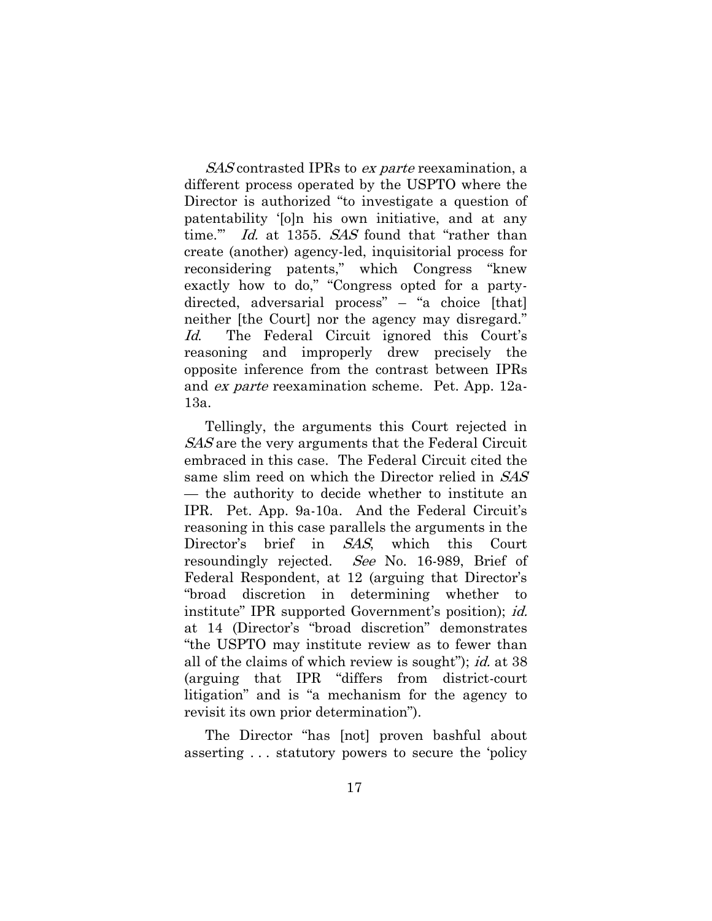SAS contrasted IPRs to ex parte reexamination, a different process operated by the USPTO where the Director is authorized "to investigate a question of patentability '[o]n his own initiative, and at any time." Id. at 1355. SAS found that "rather than create (another) agency-led, inquisitorial process for reconsidering patents," which Congress "knew exactly how to do," "Congress opted for a partydirected, adversarial process" – "a choice [that] neither [the Court] nor the agency may disregard." Id. The Federal Circuit ignored this Court's reasoning and improperly drew precisely the opposite inference from the contrast between IPRs and ex parte reexamination scheme. Pet. App. 12a-13a.

Tellingly, the arguments this Court rejected in SAS are the very arguments that the Federal Circuit embraced in this case. The Federal Circuit cited the same slim reed on which the Director relied in SAS — the authority to decide whether to institute an IPR. Pet. App. 9a-10a. And the Federal Circuit's reasoning in this case parallels the arguments in the Director's brief in SAS, which this Court resoundingly rejected. See No. 16-989, Brief of Federal Respondent, at 12 (arguing that Director's "broad discretion in determining whether to institute" IPR supported Government's position); id. at 14 (Director's "broad discretion" demonstrates "the USPTO may institute review as to fewer than all of the claims of which review is sought"); id. at 38 (arguing that IPR "differs from district-court litigation" and is "a mechanism for the agency to revisit its own prior determination").

The Director "has [not] proven bashful about asserting . . . statutory powers to secure the 'policy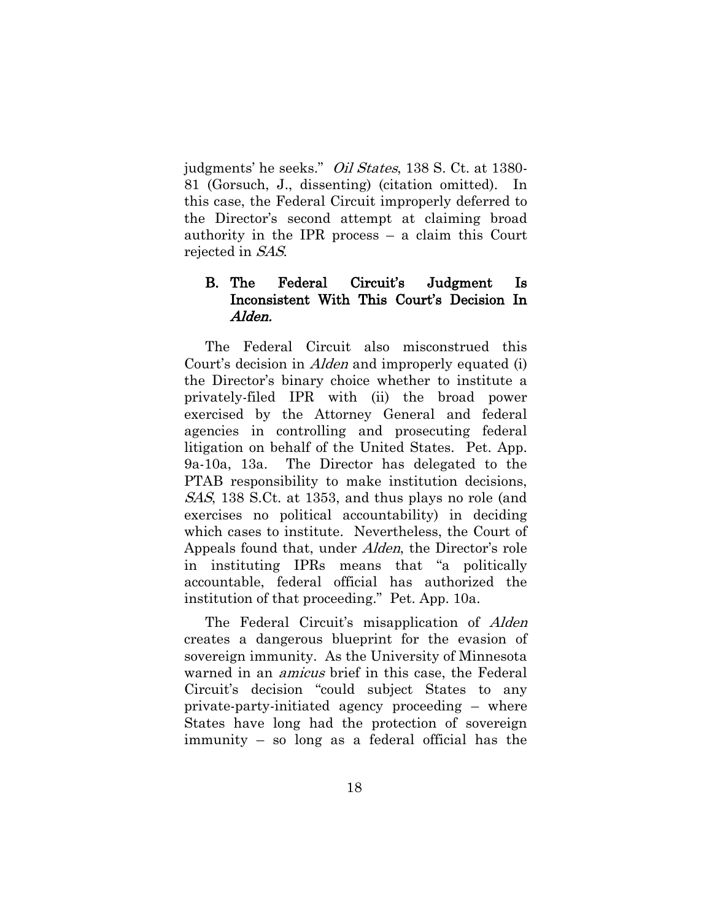judgments' he seeks." Oil States, 138 S. Ct. at 1380-81 (Gorsuch, J., dissenting) (citation omitted). In this case, the Federal Circuit improperly deferred to the Director's second attempt at claiming broad authority in the IPR process – a claim this Court rejected in SAS.

# <span id="page-30-0"></span>B. The Federal Circuit's Judgment Is Inconsistent With This Court's Decision In Alden.

The Federal Circuit also misconstrued this Court's decision in Alden and improperly equated (i) the Director's binary choice whether to institute a privately-filed IPR with (ii) the broad power exercised by the Attorney General and federal agencies in controlling and prosecuting federal litigation on behalf of the United States. Pet. App. 9a-10a, 13a. The Director has delegated to the PTAB responsibility to make institution decisions, SAS, 138 S.Ct. at 1353, and thus plays no role (and exercises no political accountability) in deciding which cases to institute. Nevertheless, the Court of Appeals found that, under Alden, the Director's role in instituting IPRs means that "a politically accountable, federal official has authorized the institution of that proceeding." Pet. App. 10a.

The Federal Circuit's misapplication of *Alden* creates a dangerous blueprint for the evasion of sovereign immunity. As the University of Minnesota warned in an *amicus* brief in this case, the Federal Circuit's decision "could subject States to any private-party-initiated agency proceeding – where States have long had the protection of sovereign immunity – so long as a federal official has the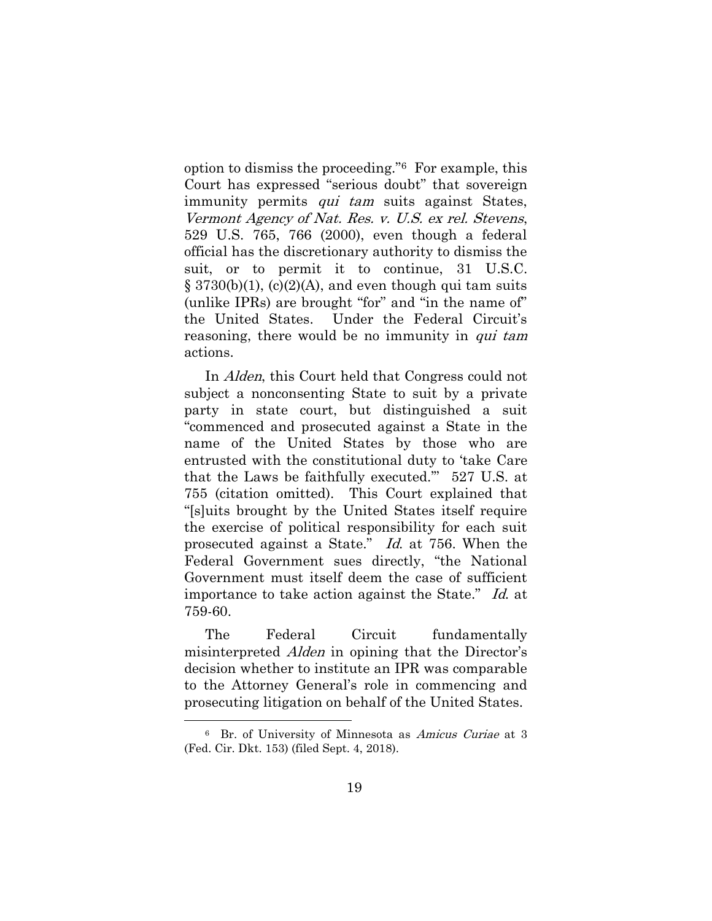option to dismiss the proceeding."6 For example, this Court has expressed "serious doubt" that sovereign immunity permits qui tam suits against States, Vermont Agency of Nat. Res. v. U.S. ex rel. Stevens, 529 U.S. 765, 766 (2000), even though a federal official has the discretionary authority to dismiss the suit, or to permit it to continue, 31 U.S.C.  $\S$  3730(b)(1), (c)(2)(A), and even though qui tam suits (unlike IPRs) are brought "for" and "in the name of" the United States. Under the Federal Circuit's reasoning, there would be no immunity in *qui tam* actions.

In Alden, this Court held that Congress could not subject a nonconsenting State to suit by a private party in state court, but distinguished a suit "commenced and prosecuted against a State in the name of the United States by those who are entrusted with the constitutional duty to 'take Care that the Laws be faithfully executed.'" 527 U.S. at 755 (citation omitted). This Court explained that "[s]uits brought by the United States itself require the exercise of political responsibility for each suit prosecuted against a State." Id. at 756. When the Federal Government sues directly, "the National Government must itself deem the case of sufficient importance to take action against the State." Id. at 759-60.

The Federal Circuit fundamentally misinterpreted *Alden* in opining that the Director's decision whether to institute an IPR was comparable to the Attorney General's role in commencing and prosecuting litigation on behalf of the United States.

<sup>6</sup> Br. of University of Minnesota as Amicus Curiae at 3 (Fed. Cir. Dkt. 153) (filed Sept. 4, 2018).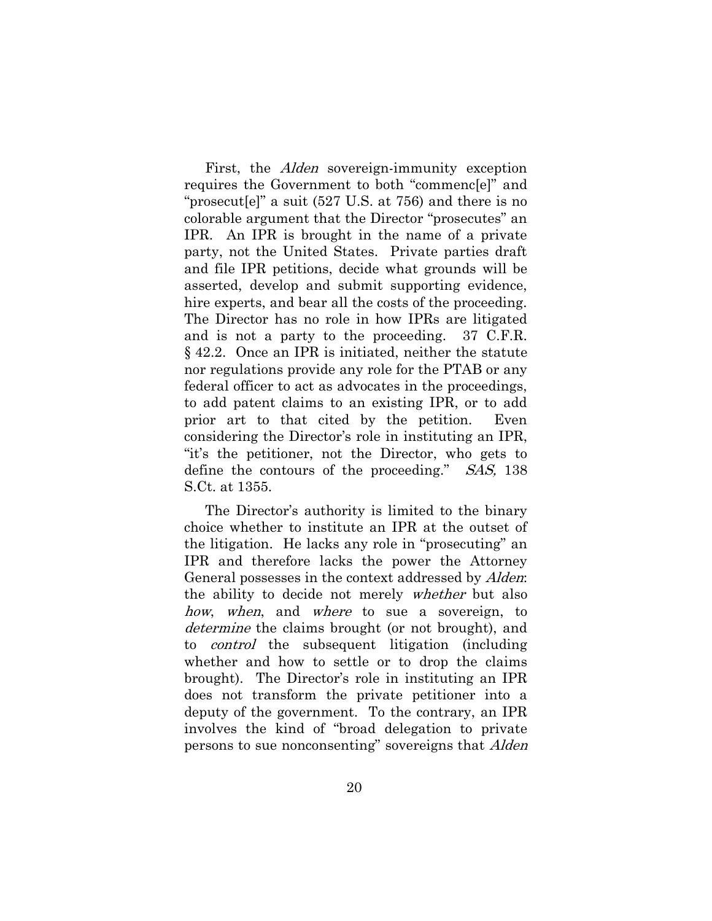First, the Alden sovereign-immunity exception requires the Government to both "commenc[e]" and "prosecut[e]" a suit (527 U.S. at 756) and there is no colorable argument that the Director "prosecutes" an IPR. An IPR is brought in the name of a private party, not the United States. Private parties draft and file IPR petitions, decide what grounds will be asserted, develop and submit supporting evidence, hire experts, and bear all the costs of the proceeding. The Director has no role in how IPRs are litigated and is not a party to the proceeding. 37 C.F.R. § 42.2. Once an IPR is initiated, neither the statute nor regulations provide any role for the PTAB or any federal officer to act as advocates in the proceedings, to add patent claims to an existing IPR, or to add prior art to that cited by the petition. Even considering the Director's role in instituting an IPR, "it's the petitioner, not the Director, who gets to define the contours of the proceeding." SAS, 138 S.Ct. at 1355.

The Director's authority is limited to the binary choice whether to institute an IPR at the outset of the litigation. He lacks any role in "prosecuting" an IPR and therefore lacks the power the Attorney General possesses in the context addressed by *Alden*: the ability to decide not merely whether but also how, when, and where to sue a sovereign, to determine the claims brought (or not brought), and to control the subsequent litigation (including whether and how to settle or to drop the claims brought). The Director's role in instituting an IPR does not transform the private petitioner into a deputy of the government. To the contrary, an IPR involves the kind of "broad delegation to private persons to sue nonconsenting" sovereigns that Alden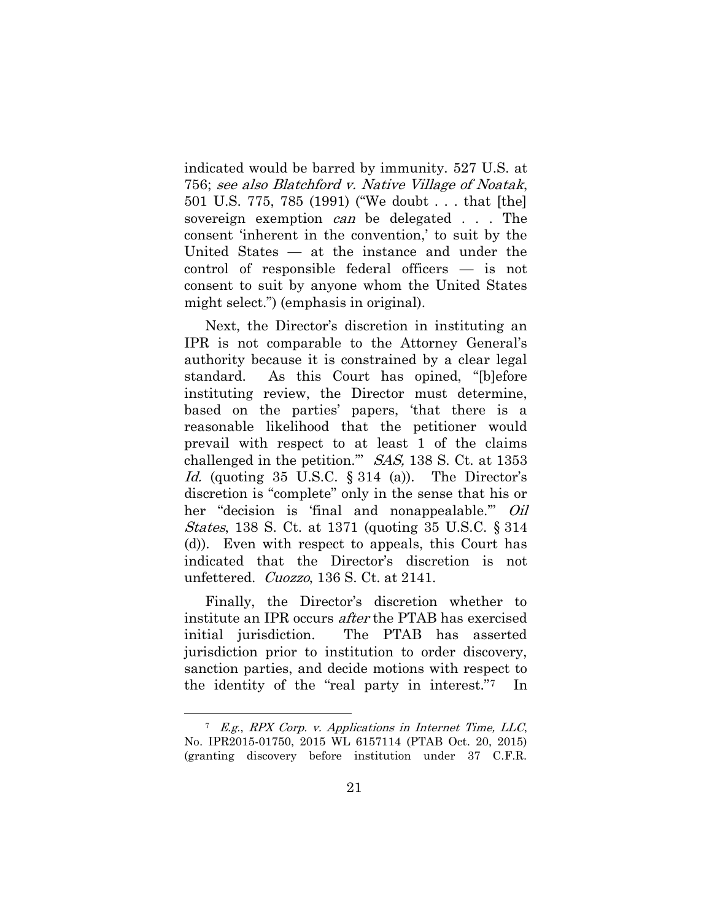indicated would be barred by immunity. 527 U.S. at 756; see also Blatchford v. Native Village of Noatak, 501 U.S. 775, 785 (1991) ("We doubt . . . that [the] sovereign exemption *can* be delegated . . . The consent 'inherent in the convention,' to suit by the United States — at the instance and under the control of responsible federal officers — is not consent to suit by anyone whom the United States might select.") (emphasis in original).

Next, the Director's discretion in instituting an IPR is not comparable to the Attorney General's authority because it is constrained by a clear legal standard. As this Court has opined, "[b]efore instituting review, the Director must determine, based on the parties' papers, 'that there is a reasonable likelihood that the petitioner would prevail with respect to at least 1 of the claims challenged in the petition.'" SAS, 138 S. Ct. at 1353 Id. (quoting  $35 \text{ U.S.C. } \S 314 \text{ (a)}$ ). The Director's discretion is "complete" only in the sense that his or her "decision is 'final and nonappealable." Oil *States*, 138 S. Ct. at 1371 (quoting 35 U.S.C. § 314 (d)). Even with respect to appeals, this Court has indicated that the Director's discretion is not unfettered. Cuozzo, 136 S. Ct. at 2141.

Finally, the Director's discretion whether to institute an IPR occurs after the PTAB has exercised initial jurisdiction. The PTAB has asserted jurisdiction prior to institution to order discovery, sanction parties, and decide motions with respect to the identity of the "real party in interest."7 In

<sup>7</sup> E.g., RPX Corp. v. Applications in Internet Time, LLC, No. IPR2015-01750, 2015 WL 6157114 (PTAB Oct. 20, 2015) (granting discovery before institution under 37 C.F.R.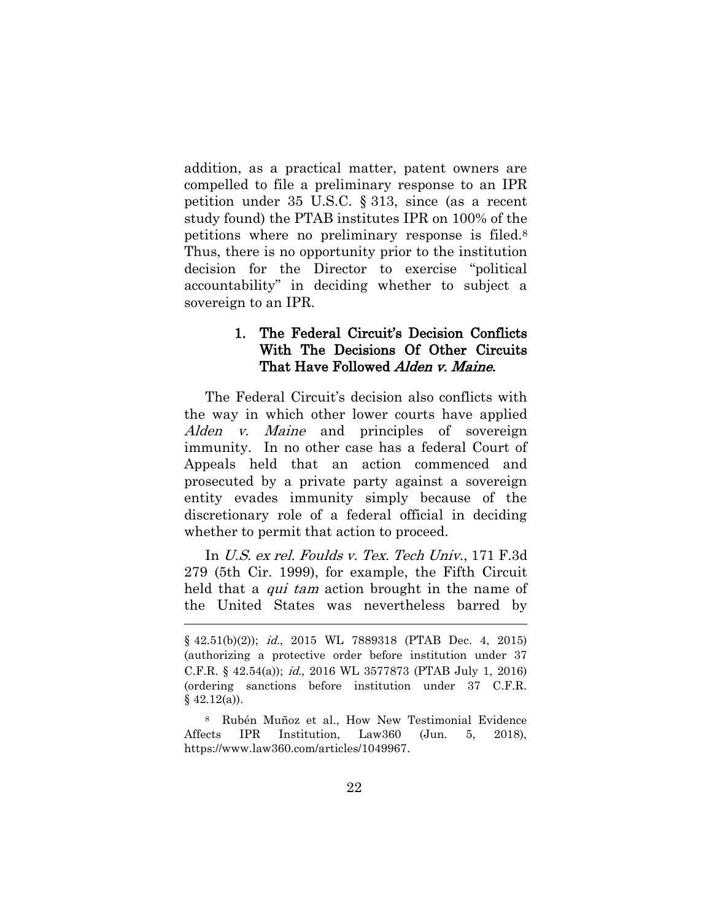addition, as a practical matter, patent owners are compelled to file a preliminary response to an IPR petition under 35 U.S.C. § 313, since (as a recent study found) the PTAB institutes IPR on 100% of the petitions where no preliminary response is filed.<sup>8</sup> Thus, there is no opportunity prior to the institution decision for the Director to exercise "political accountability" in deciding whether to subject a sovereign to an IPR.

# <span id="page-34-0"></span>1. The Federal Circuit's Decision Conflicts With The Decisions Of Other Circuits That Have Followed *Alden v. Maine.*

The Federal Circuit's decision also conflicts with the way in which other lower courts have applied Alden *v.* Maine and principles of sovereign immunity. In no other case has a federal Court of Appeals held that an action commenced and prosecuted by a private party against a sovereign entity evades immunity simply because of the discretionary role of a federal official in deciding whether to permit that action to proceed.

In U.S. ex rel. Foulds v. Tex. Tech Univ., 171 F.3d 279 (5th Cir. 1999), for example, the Fifth Circuit held that a *qui tam* action brought in the name of the United States was nevertheless barred by

l

<sup>§ 42.51(</sup>b)(2)); id., 2015 WL 7889318 (PTAB Dec. 4, 2015) (authorizing a protective order before institution under 37 C.F.R. § 42.54(a)); id., 2016 WL 3577873 (PTAB July 1, 2016) (ordering sanctions before institution under 37 C.F.R.  $§$  42.12(a)).

<sup>8</sup> Rubén Muñoz et al., How New Testimonial Evidence Affects IPR Institution, Law360 (Jun. 5, 2018), https://www.law360.com/articles/1049967.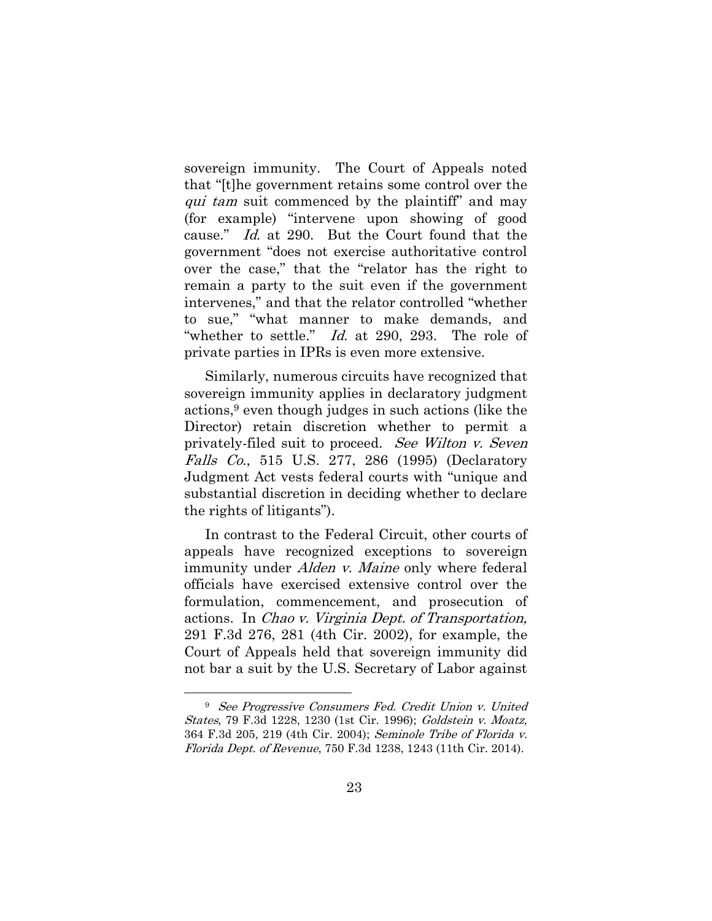sovereign immunity. The Court of Appeals noted that "[t]he government retains some control over the qui tam suit commenced by the plaintiff" and may (for example) "intervene upon showing of good cause." Id. at 290. But the Court found that the government "does not exercise authoritative control over the case," that the "relator has the right to remain a party to the suit even if the government intervenes," and that the relator controlled "whether to sue," "what manner to make demands, and "whether to settle." Id. at 290, 293. The role of private parties in IPRs is even more extensive.

Similarly, numerous circuits have recognized that sovereign immunity applies in declaratory judgment actions,<sup>9</sup> even though judges in such actions (like the Director) retain discretion whether to permit a privately-filed suit to proceed. See Wilton v. Seven Falls Co., 515 U.S. 277, 286 (1995) (Declaratory Judgment Act vests federal courts with "unique and substantial discretion in deciding whether to declare the rights of litigants").

In contrast to the Federal Circuit, other courts of appeals have recognized exceptions to sovereign immunity under *Alden v. Maine* only where federal officials have exercised extensive control over the formulation, commencement, and prosecution of actions. In Chao v. Virginia Dept. of Transportation, 291 F.3d 276, 281 (4th Cir. 2002), for example, the Court of Appeals held that sovereign immunity did not bar a suit by the U.S. Secretary of Labor against

<sup>9</sup> See Progressive Consumers Fed. Credit Union v. United States, 79 F.3d 1228, 1230 (1st Cir. 1996); Goldstein v. Moatz, 364 F.3d 205, 219 (4th Cir. 2004); Seminole Tribe of Florida v. Florida Dept. of Revenue, 750 F.3d 1238, 1243 (11th Cir. 2014).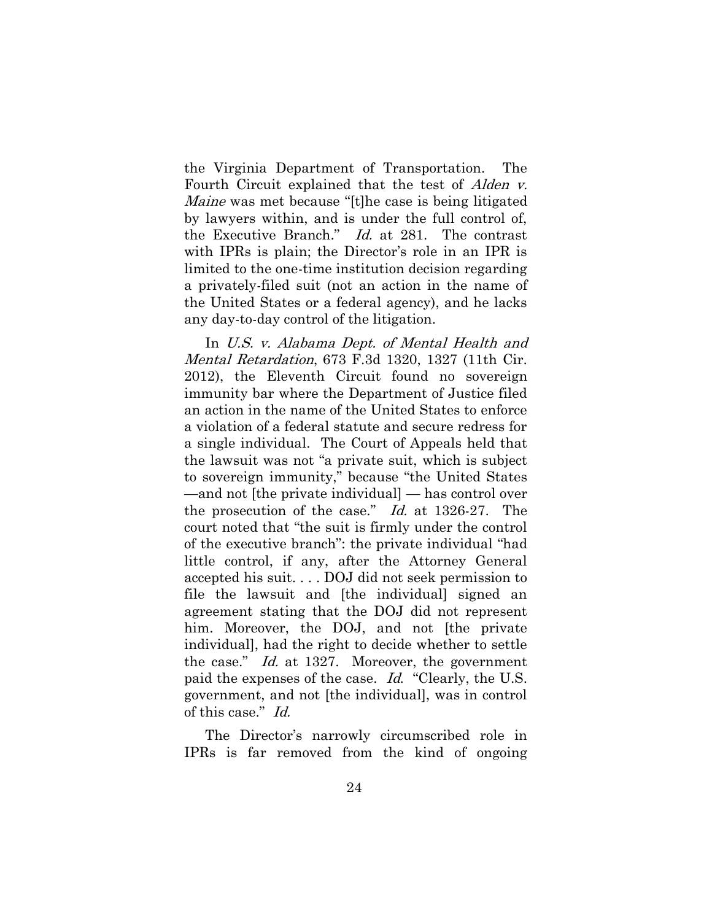the Virginia Department of Transportation. The Fourth Circuit explained that the test of *Alden v.* Maine was met because "[t]he case is being litigated by lawyers within, and is under the full control of, the Executive Branch." Id. at 281. The contrast with IPRs is plain; the Director's role in an IPR is limited to the one-time institution decision regarding a privately-filed suit (not an action in the name of the United States or a federal agency), and he lacks any day-to-day control of the litigation.

In U.S. v. Alabama Dept. of Mental Health and Mental Retardation, 673 F.3d 1320, 1327 (11th Cir. 2012), the Eleventh Circuit found no sovereign immunity bar where the Department of Justice filed an action in the name of the United States to enforce a violation of a federal statute and secure redress for a single individual. The Court of Appeals held that the lawsuit was not "a private suit, which is subject to sovereign immunity," because "the United States —and not [the private individual] — has control over the prosecution of the case." Id. at 1326-27. The court noted that "the suit is firmly under the control of the executive branch": the private individual "had little control, if any, after the Attorney General accepted his suit. . . . DOJ did not seek permission to file the lawsuit and [the individual] signed an agreement stating that the DOJ did not represent him. Moreover, the DOJ, and not [the private individual], had the right to decide whether to settle the case." Id. at 1327. Moreover, the government paid the expenses of the case. Id. "Clearly, the U.S. government, and not [the individual], was in control of this case." Id.

The Director's narrowly circumscribed role in IPRs is far removed from the kind of ongoing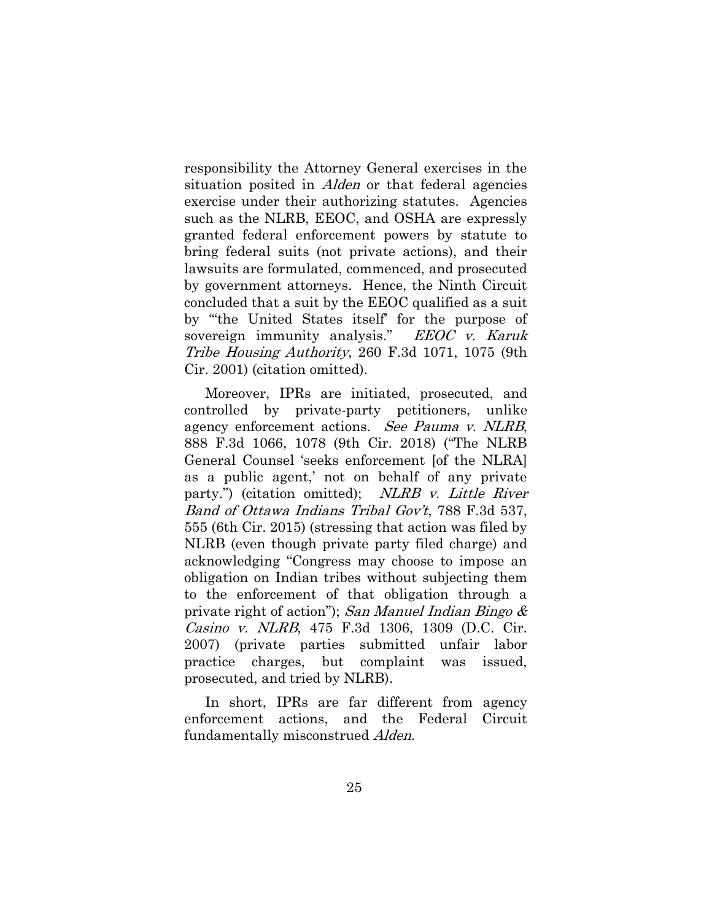responsibility the Attorney General exercises in the situation posited in *Alden* or that federal agencies exercise under their authorizing statutes. Agencies such as the NLRB, EEOC, and OSHA are expressly granted federal enforcement powers by statute to bring federal suits (not private actions), and their lawsuits are formulated, commenced, and prosecuted by government attorneys. Hence, the Ninth Circuit concluded that a suit by the EEOC qualified as a suit by "'the United States itself' for the purpose of sovereign immunity analysis."  $EEOC$  v. Karuk Tribe Housing Authority, 260 F.3d 1071, 1075 (9th Cir. 2001) (citation omitted).

Moreover, IPRs are initiated, prosecuted, and controlled by private-party petitioners, unlike agency enforcement actions. See Pauma v. NLRB, 888 F.3d 1066, 1078 (9th Cir. 2018) ("The NLRB General Counsel 'seeks enforcement [of the NLRA] as a public agent,' not on behalf of any private party.") (citation omitted); *NLRB v. Little River* Band of Ottawa Indians Tribal Gov't, 788 F.3d 537, 555 (6th Cir. 2015) (stressing that action was filed by NLRB (even though private party filed charge) and acknowledging "Congress may choose to impose an obligation on Indian tribes without subjecting them to the enforcement of that obligation through a private right of action"); San Manuel Indian Bingo & Casino v. NLRB, 475 F.3d 1306, 1309 (D.C. Cir. 2007) (private parties submitted unfair labor practice charges, but complaint was issued, prosecuted, and tried by NLRB).

In short, IPRs are far different from agency enforcement actions, and the Federal Circuit fundamentally misconstrued Alden.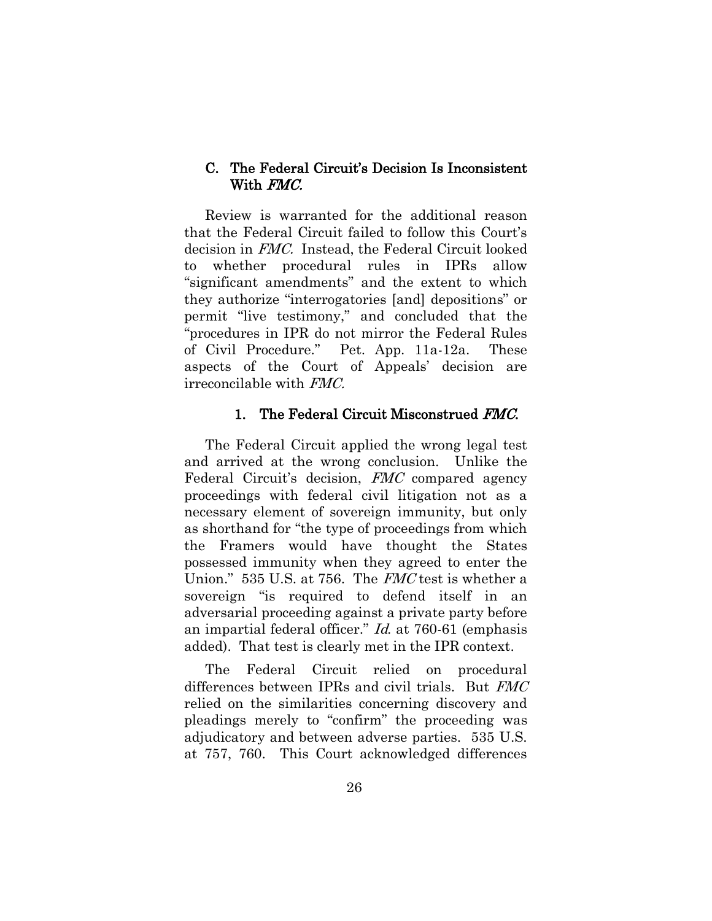#### <span id="page-38-0"></span>C. The Federal Circuit's Decision Is Inconsistent With *FMC*.

Review is warranted for the additional reason that the Federal Circuit failed to follow this Court's decision in FMC. Instead, the Federal Circuit looked to whether procedural rules in IPRs allow "significant amendments" and the extent to which they authorize "interrogatories [and] depositions" or permit "live testimony," and concluded that the "procedures in IPR do not mirror the Federal Rules of Civil Procedure." Pet. App. 11a-12a. These aspects of the Court of Appeals' decision are irreconcilable with FMC.

### 1. The Federal Circuit Misconstrued FMC.

<span id="page-38-1"></span>The Federal Circuit applied the wrong legal test and arrived at the wrong conclusion. Unlike the Federal Circuit's decision, FMC compared agency proceedings with federal civil litigation not as a necessary element of sovereign immunity, but only as shorthand for "the type of proceedings from which the Framers would have thought the States possessed immunity when they agreed to enter the Union." 535 U.S. at 756. The *FMC* test is whether a sovereign "is required to defend itself in an adversarial proceeding against a private party before an impartial federal officer." Id. at 760-61 (emphasis added). That test is clearly met in the IPR context.

The Federal Circuit relied on procedural differences between IPRs and civil trials. But FMC relied on the similarities concerning discovery and pleadings merely to "confirm" the proceeding was adjudicatory and between adverse parties. 535 U.S. at 757, 760. This Court acknowledged differences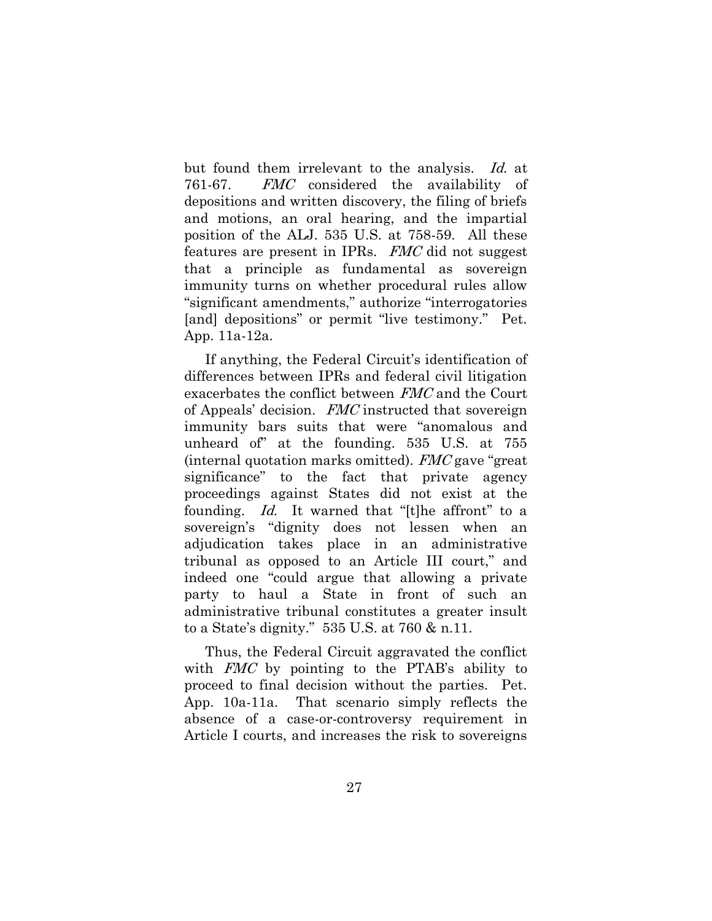but found them irrelevant to the analysis. Id. at 761-67. FMC considered the availability of depositions and written discovery, the filing of briefs and motions, an oral hearing, and the impartial position of the ALJ. 535 U.S. at 758-59. All these features are present in IPRs. FMC did not suggest that a principle as fundamental as sovereign immunity turns on whether procedural rules allow "significant amendments," authorize "interrogatories [and] depositions" or permit "live testimony." Pet. App. 11a-12a.

If anything, the Federal Circuit's identification of differences between IPRs and federal civil litigation exacerbates the conflict between FMC and the Court of Appeals' decision. FMC instructed that sovereign immunity bars suits that were "anomalous and unheard of" at the founding. 535 U.S. at 755 (internal quotation marks omitted). FMC gave "great significance" to the fact that private agency proceedings against States did not exist at the founding. Id. It warned that "[t]he affront" to a sovereign's "dignity does not lessen when an adjudication takes place in an administrative tribunal as opposed to an Article III court," and indeed one "could argue that allowing a private party to haul a State in front of such an administrative tribunal constitutes a greater insult to a State's dignity." 535 U.S. at 760 & n.11.

Thus, the Federal Circuit aggravated the conflict with  $FMC$  by pointing to the PTAB's ability to proceed to final decision without the parties. Pet. App. 10a-11a. That scenario simply reflects the absence of a case-or-controversy requirement in Article I courts, and increases the risk to sovereigns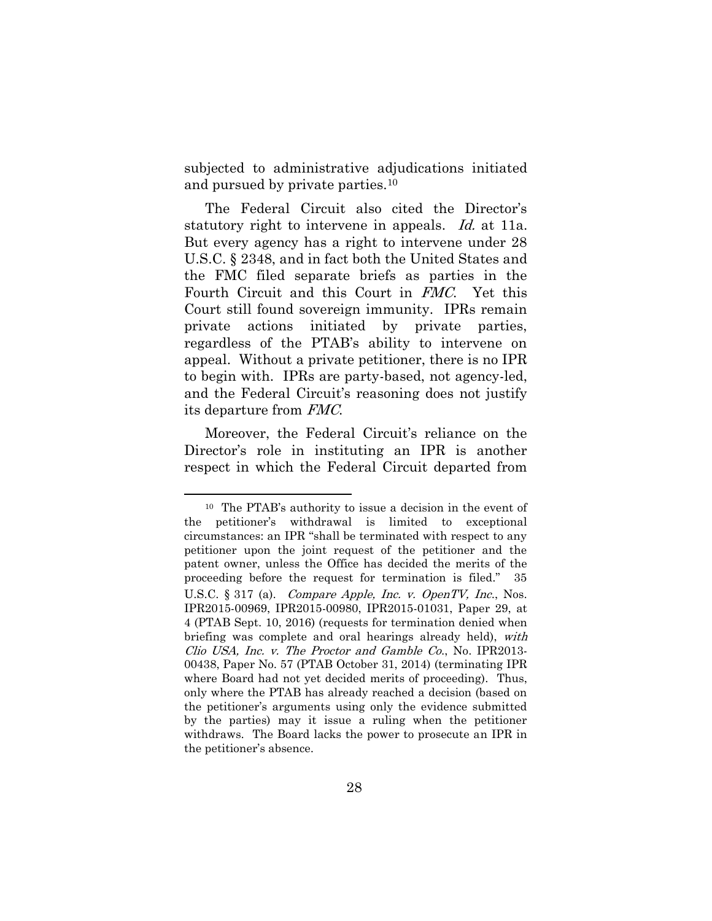subjected to administrative adjudications initiated and pursued by private parties.<sup>10</sup>

The Federal Circuit also cited the Director's statutory right to intervene in appeals. Id. at 11a. But every agency has a right to intervene under 28 U.S.C. § 2348, and in fact both the United States and the FMC filed separate briefs as parties in the Fourth Circuit and this Court in FMC. Yet this Court still found sovereign immunity. IPRs remain private actions initiated by private parties, regardless of the PTAB's ability to intervene on appeal. Without a private petitioner, there is no IPR to begin with. IPRs are party-based, not agency-led, and the Federal Circuit's reasoning does not justify its departure from FMC.

Moreover, the Federal Circuit's reliance on the Director's role in instituting an IPR is another respect in which the Federal Circuit departed from

l

<sup>10</sup> The PTAB's authority to issue a decision in the event of the petitioner's withdrawal is limited to exceptional circumstances: an IPR "shall be terminated with respect to any petitioner upon the joint request of the petitioner and the patent owner, unless the Office has decided the merits of the proceeding before the request for termination is filed." 35 U.S.C. § 317 (a). *Compare Apple, Inc. v. OpenTV, Inc.*, Nos. IPR2015-00969, IPR2015-00980, IPR2015-01031, Paper 29, at 4 (PTAB Sept. 10, 2016) (requests for termination denied when briefing was complete and oral hearings already held), with Clio USA, Inc. v. The Proctor and Gamble Co., No. IPR2013- 00438, Paper No. 57 (PTAB October 31, 2014) (terminating IPR where Board had not yet decided merits of proceeding). Thus, only where the PTAB has already reached a decision (based on the petitioner's arguments using only the evidence submitted by the parties) may it issue a ruling when the petitioner withdraws. The Board lacks the power to prosecute an IPR in the petitioner's absence.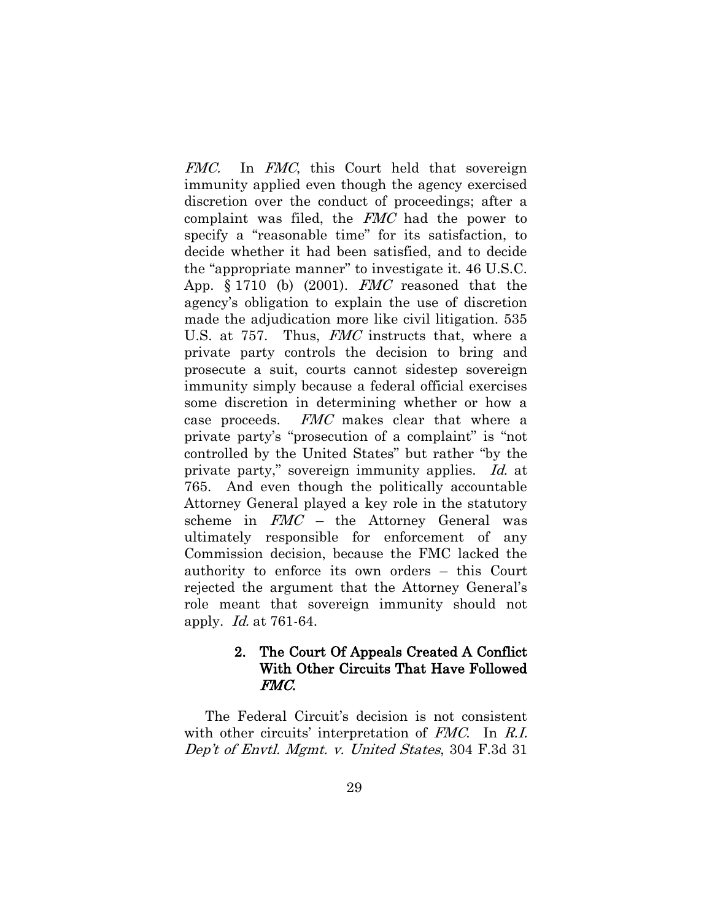FMC. In FMC, this Court held that sovereign immunity applied even though the agency exercised discretion over the conduct of proceedings; after a complaint was filed, the FMC had the power to specify a "reasonable time" for its satisfaction, to decide whether it had been satisfied, and to decide the "appropriate manner" to investigate it. 46 U.S.C. App.  $\S 1710$  (b) (2001). *FMC* reasoned that the agency's obligation to explain the use of discretion made the adjudication more like civil litigation. 535 U.S. at 757. Thus, *FMC* instructs that, where a private party controls the decision to bring and prosecute a suit, courts cannot sidestep sovereign immunity simply because a federal official exercises some discretion in determining whether or how a case proceeds. FMC makes clear that where a private party's "prosecution of a complaint" is "not controlled by the United States" but rather "by the private party," sovereign immunity applies. Id. at 765. And even though the politically accountable Attorney General played a key role in the statutory scheme in  $FMC -$  the Attorney General was ultimately responsible for enforcement of any Commission decision, because the FMC lacked the authority to enforce its own orders – this Court rejected the argument that the Attorney General's role meant that sovereign immunity should not apply. Id. at 761-64.

# <span id="page-41-0"></span>2. The Court Of Appeals Created A Conflict With Other Circuits That Have Followed FMC.

The Federal Circuit's decision is not consistent with other circuits' interpretation of FMC. In R.I. Dep't of Envtl. Mgmt. v. United States, 304 F.3d 31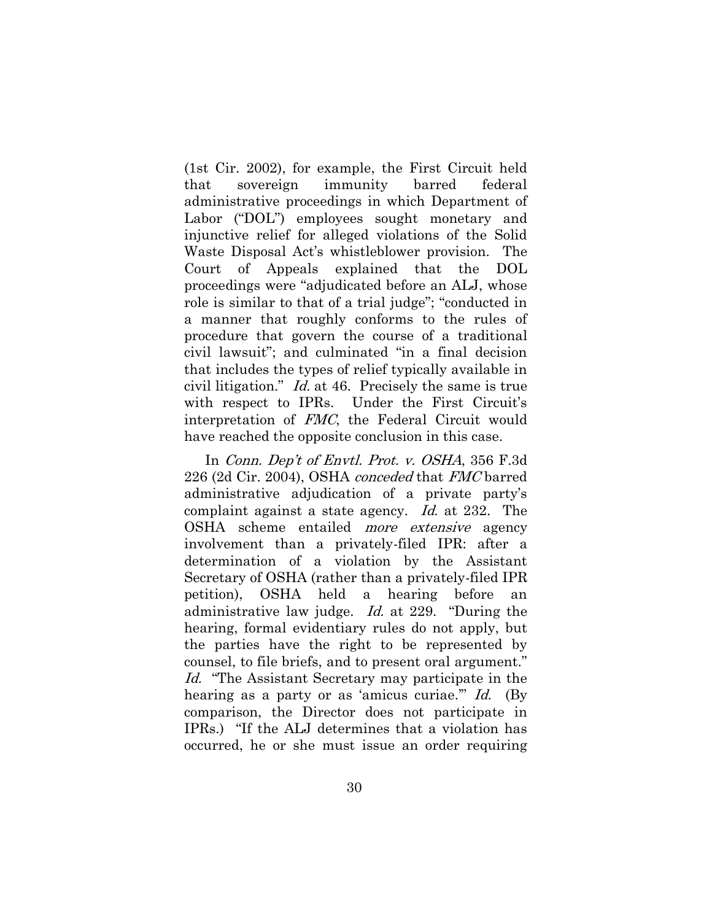(1st Cir. 2002), for example, the First Circuit held that sovereign immunity barred federal administrative proceedings in which Department of Labor ("DOL") employees sought monetary and injunctive relief for alleged violations of the Solid Waste Disposal Act's whistleblower provision. The Court of Appeals explained that the DOL proceedings were "adjudicated before an ALJ, whose role is similar to that of a trial judge"; "conducted in a manner that roughly conforms to the rules of procedure that govern the course of a traditional civil lawsuit"; and culminated "in a final decision that includes the types of relief typically available in civil litigation." Id. at 46. Precisely the same is true with respect to IPRs. Under the First Circuit's interpretation of FMC, the Federal Circuit would have reached the opposite conclusion in this case.

In Conn. Dep't of Envtl. Prot. v. OSHA, 356 F.3d 226 (2d Cir. 2004), OSHA conceded that FMC barred administrative adjudication of a private party's complaint against a state agency. Id. at 232. The OSHA scheme entailed more extensive agency involvement than a privately-filed IPR: after a determination of a violation by the Assistant Secretary of OSHA (rather than a privately-filed IPR petition), OSHA held a hearing before an administrative law judge. Id. at 229. "During the hearing, formal evidentiary rules do not apply, but the parties have the right to be represented by counsel, to file briefs, and to present oral argument." Id. "The Assistant Secretary may participate in the hearing as a party or as 'amicus curiae." Id. (By comparison, the Director does not participate in IPRs.) "If the ALJ determines that a violation has occurred, he or she must issue an order requiring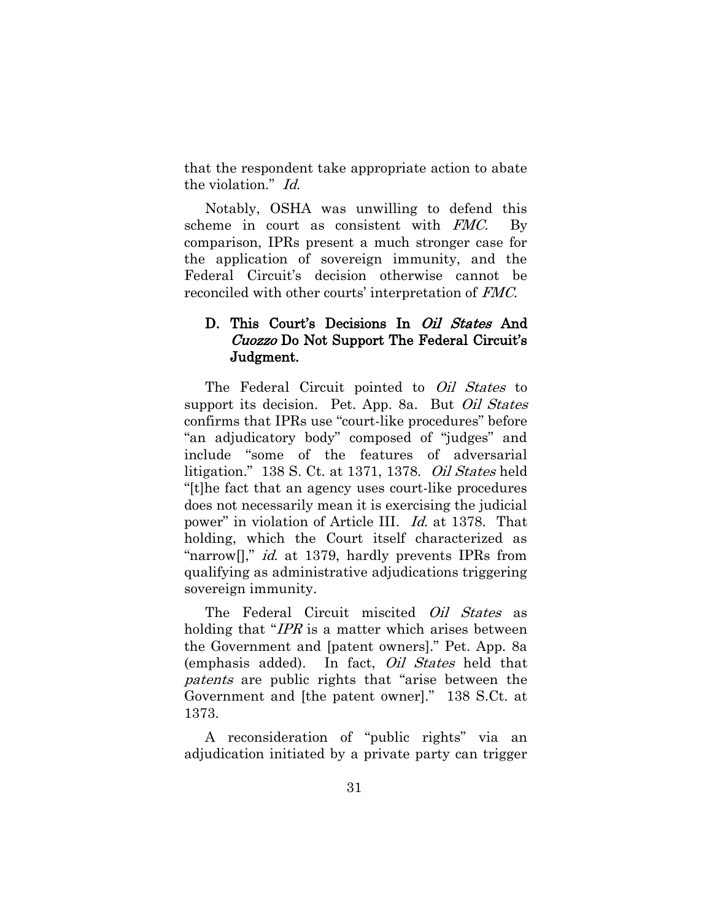that the respondent take appropriate action to abate the violation." Id.

Notably, OSHA was unwilling to defend this scheme in court as consistent with FMC. By comparison, IPRs present a much stronger case for the application of sovereign immunity, and the Federal Circuit's decision otherwise cannot be reconciled with other courts' interpretation of FMC.

# <span id="page-43-0"></span>D. This Court's Decisions In *Oil States* And Cuozzo Do Not Support The Federal Circuit's Judgment.

The Federal Circuit pointed to Oil States to support its decision. Pet. App. 8a. But *Oil States* confirms that IPRs use "court-like procedures" before "an adjudicatory body" composed of "judges" and include "some of the features of adversarial litigation." 138 S. Ct. at 1371, 1378. Oil States held "[t]he fact that an agency uses court-like procedures does not necessarily mean it is exercising the judicial power" in violation of Article III. Id. at 1378. That holding, which the Court itself characterized as "narrow[]," *id.* at 1379, hardly prevents IPRs from qualifying as administrative adjudications triggering sovereign immunity.

The Federal Circuit miscited *Oil States* as holding that "IPR is a matter which arises between" the Government and [patent owners]." Pet. App. 8a (emphasis added). In fact, Oil States held that patents are public rights that "arise between the Government and [the patent owner]." 138 S.Ct. at 1373.

A reconsideration of "public rights" via an adjudication initiated by a private party can trigger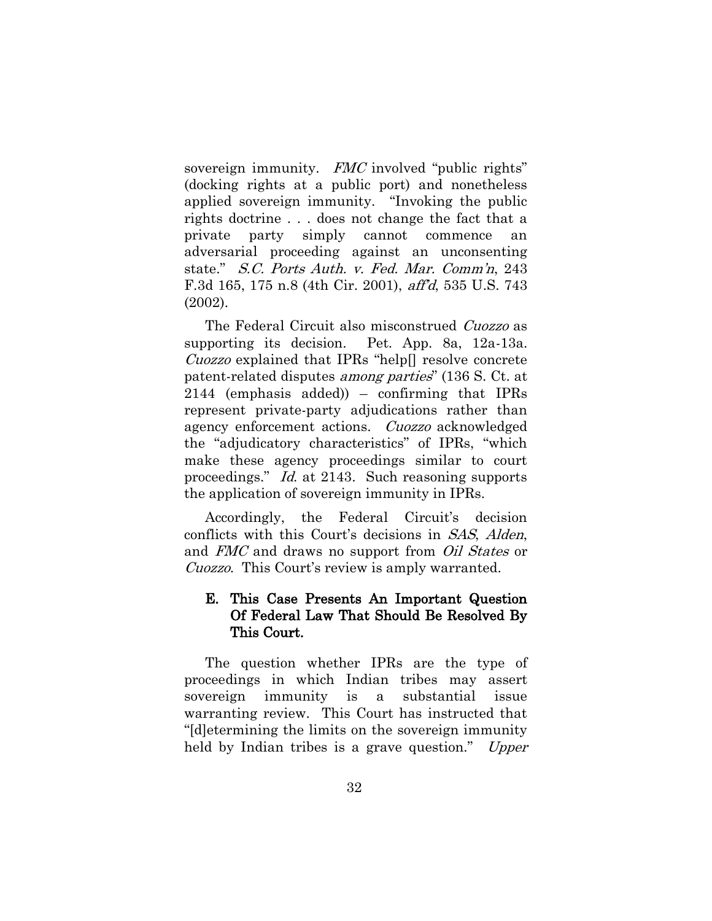sovereign immunity. FMC involved "public rights" (docking rights at a public port) and nonetheless applied sovereign immunity. "Invoking the public rights doctrine . . . does not change the fact that a private party simply cannot commence an adversarial proceeding against an unconsenting state." S.C. Ports Auth. v. Fed. Mar. Comm'n, 243 F.3d 165, 175 n.8 (4th Cir. 2001), aff'd, 535 U.S. 743 (2002).

The Federal Circuit also misconstrued Cuozzo as supporting its decision. Pet. App. 8a, 12a-13a. Cuozzo explained that IPRs "help[] resolve concrete patent-related disputes among parties" (136 S. Ct. at 2144 (emphasis added)) – confirming that IPRs represent private-party adjudications rather than agency enforcement actions. Cuozzo acknowledged the "adjudicatory characteristics" of IPRs, "which make these agency proceedings similar to court proceedings." Id. at 2143. Such reasoning supports the application of sovereign immunity in IPRs.

Accordingly, the Federal Circuit's decision conflicts with this Court's decisions in SAS, Alden, and FMC and draws no support from *Oil States* or Cuozzo. This Court's review is amply warranted.

# <span id="page-44-0"></span>E. This Case Presents An Important Question Of Federal Law That Should Be Resolved By This Court.

The question whether IPRs are the type of proceedings in which Indian tribes may assert sovereign immunity is a substantial issue warranting review. This Court has instructed that "[d]etermining the limits on the sovereign immunity held by Indian tribes is a grave question." Upper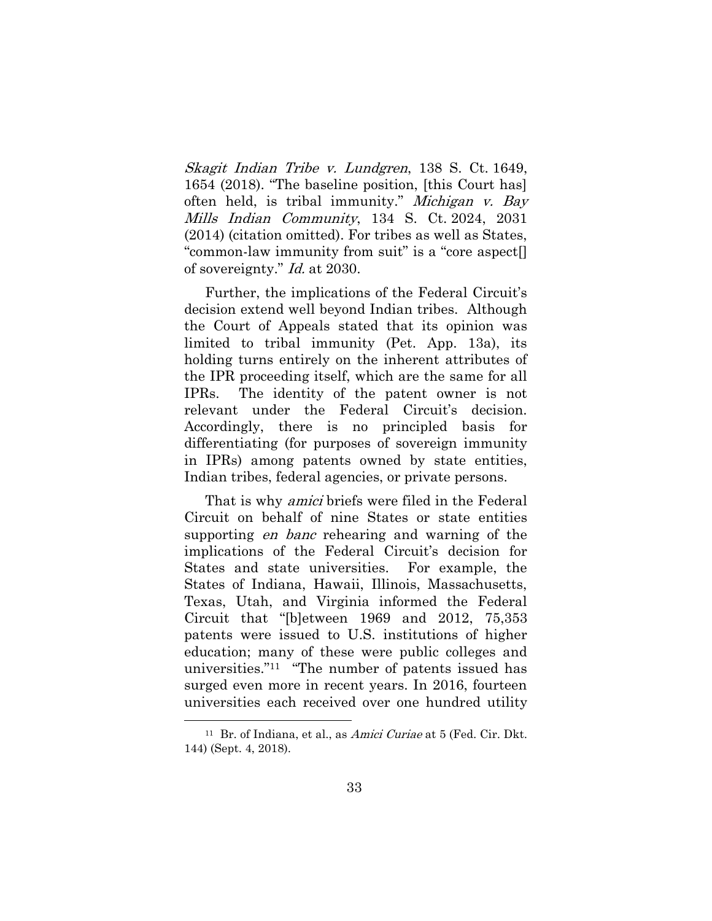Skagit Indian Tribe v. Lundgren, 138 S. Ct. 1649, 1654 (2018). "The baseline position, [this Court has] often held, is tribal immunity." Michigan v. Bay Mills Indian Community, 134 S. Ct. 2024, 2031 (2014) (citation omitted). For tribes as well as States, "common-law immunity from suit" is a "core aspect[] of sovereignty." Id. at 2030.

Further, the implications of the Federal Circuit's decision extend well beyond Indian tribes. Although the Court of Appeals stated that its opinion was limited to tribal immunity (Pet. App. 13a), its holding turns entirely on the inherent attributes of the IPR proceeding itself, which are the same for all IPRs. The identity of the patent owner is not relevant under the Federal Circuit's decision. Accordingly, there is no principled basis for differentiating (for purposes of sovereign immunity in IPRs) among patents owned by state entities, Indian tribes, federal agencies, or private persons.

That is why *amici* briefs were filed in the Federal Circuit on behalf of nine States or state entities supporting *en banc* rehearing and warning of the implications of the Federal Circuit's decision for States and state universities. For example, the States of Indiana, Hawaii, Illinois, Massachusetts, Texas, Utah, and Virginia informed the Federal Circuit that "[b]etween 1969 and 2012, 75,353 patents were issued to U.S. institutions of higher education; many of these were public colleges and universities."<sup>11</sup> "The number of patents issued has surged even more in recent years. In 2016, fourteen universities each received over one hundred utility

<sup>&</sup>lt;sup>11</sup> Br. of Indiana, et al., as *Amici Curiae* at  $5$  (Fed. Cir. Dkt. 144) (Sept. 4, 2018).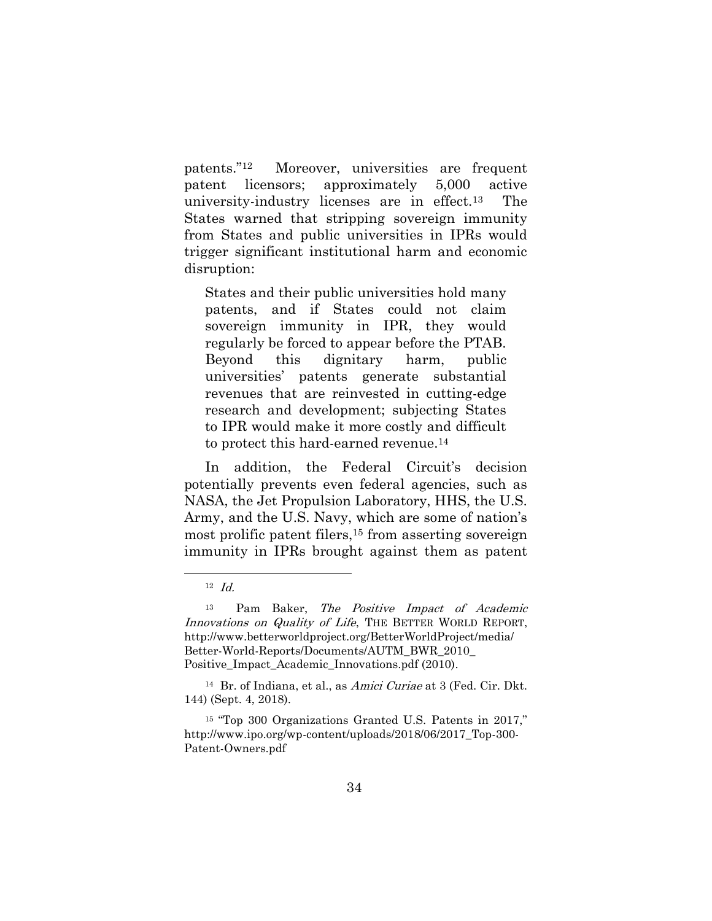patents."12 Moreover, universities are frequent patent licensors; approximately 5,000 active university-industry licenses are in effect.13 The States warned that stripping sovereign immunity from States and public universities in IPRs would trigger significant institutional harm and economic disruption:

States and their public universities hold many patents, and if States could not claim sovereign immunity in IPR, they would regularly be forced to appear before the PTAB. Beyond this dignitary harm, public universities' patents generate substantial revenues that are reinvested in cutting-edge research and development; subjecting States to IPR would make it more costly and difficult to protect this hard-earned revenue.<sup>14</sup>

In addition, the Federal Circuit's decision potentially prevents even federal agencies, such as NASA, the Jet Propulsion Laboratory, HHS, the U.S. Army, and the U.S. Navy, which are some of nation's most prolific patent filers,<sup>15</sup> from asserting sovereign immunity in IPRs brought against them as patent

 $12$  *Id.* 

<sup>13</sup> Pam Baker, The Positive Impact of Academic Innovations on Quality of Life, THE BETTER WORLD REPORT, http://www.betterworldproject.org/BetterWorldProject/media/ Better-World-Reports/Documents/AUTM\_BWR\_2010\_ Positive\_Impact\_Academic\_Innovations.pdf (2010).

<sup>14</sup> Br. of Indiana, et al., as Amici Curiae at 3 (Fed. Cir. Dkt. 144) (Sept. 4, 2018).

<sup>15</sup> "Top 300 Organizations Granted U.S. Patents in 2017," http://www.ipo.org/wp-content/uploads/2018/06/2017\_Top-300- Patent-Owners.pdf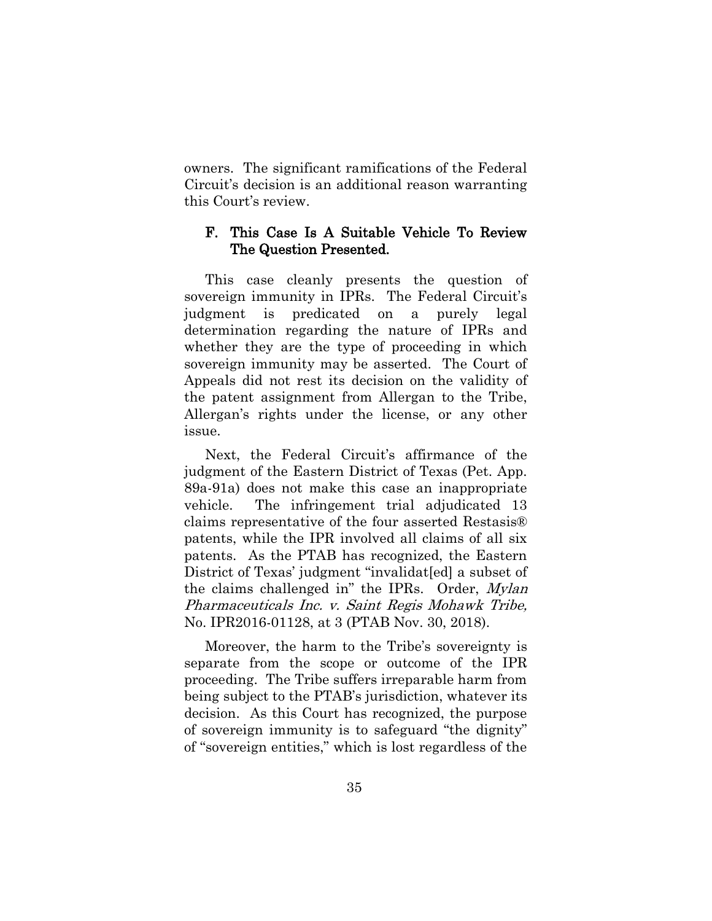owners. The significant ramifications of the Federal Circuit's decision is an additional reason warranting this Court's review.

### <span id="page-47-0"></span>F. This Case Is A Suitable Vehicle To Review The Question Presented.

This case cleanly presents the question of sovereign immunity in IPRs. The Federal Circuit's judgment is predicated on a purely legal determination regarding the nature of IPRs and whether they are the type of proceeding in which sovereign immunity may be asserted. The Court of Appeals did not rest its decision on the validity of the patent assignment from Allergan to the Tribe, Allergan's rights under the license, or any other issue.

Next, the Federal Circuit's affirmance of the judgment of the Eastern District of Texas (Pet. App. 89a-91a) does not make this case an inappropriate vehicle. The infringement trial adjudicated 13 claims representative of the four asserted Restasis® patents, while the IPR involved all claims of all six patents. As the PTAB has recognized, the Eastern District of Texas' judgment "invalidat [ed] a subset of the claims challenged in" the IPRs. Order, Mylan Pharmaceuticals Inc. v. Saint Regis Mohawk Tribe, No. IPR2016-01128, at 3 (PTAB Nov. 30, 2018).

Moreover, the harm to the Tribe's sovereignty is separate from the scope or outcome of the IPR proceeding. The Tribe suffers irreparable harm from being subject to the PTAB's jurisdiction, whatever its decision. As this Court has recognized, the purpose of sovereign immunity is to safeguard "the dignity" of "sovereign entities," which is lost regardless of the